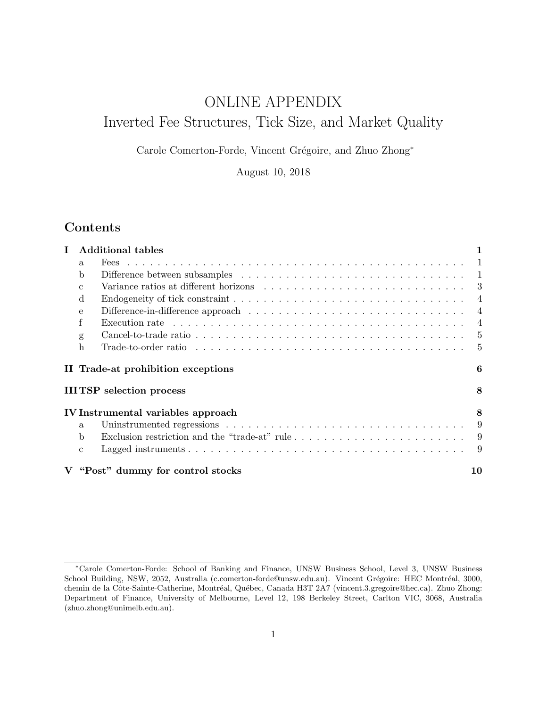# <span id="page-0-0"></span>ONLINE APPENDIX Inverted Fee Structures, Tick Size, and Market Quality

Carole Comerton-Forde, Vincent Grégoire, and Zhuo Zhong<sup>∗</sup>

August 10, 2018

# Contents

| L |              | <b>Additional tables</b>                                                                                          |                |
|---|--------------|-------------------------------------------------------------------------------------------------------------------|----------------|
|   | a.           | Fees                                                                                                              | $\mathbf{1}$   |
|   | b            |                                                                                                                   |                |
|   | $\mathbf{C}$ |                                                                                                                   |                |
|   | <sub>d</sub> |                                                                                                                   | 4              |
|   | $\mathbf{e}$ |                                                                                                                   | $\overline{4}$ |
|   | f            |                                                                                                                   | $\overline{4}$ |
|   | g            |                                                                                                                   | 5              |
|   | h            | Trade-to-order ratio $\ldots \ldots \ldots \ldots \ldots \ldots \ldots \ldots \ldots \ldots \ldots \ldots \ldots$ | $\overline{5}$ |
|   |              | II Trade-at prohibition exceptions                                                                                | 6              |
|   |              | <b>IIITSP</b> selection process                                                                                   | 8              |
|   |              | IV Instrumental variables approach                                                                                | 8              |
|   | $\mathbf{a}$ |                                                                                                                   | 9              |
|   | b            |                                                                                                                   | -9             |
|   | $\mathbf{c}$ |                                                                                                                   | 9              |
|   |              | V "Post" dummy for control stocks                                                                                 | 10             |

<sup>∗</sup>Carole Comerton-Forde: School of Banking and Finance, UNSW Business School, Level 3, UNSW Business School Building, NSW, 2052, Australia (c.comerton-forde@unsw.edu.au). Vincent Grégoire: HEC Montréal, 3000, chemin de la Côte-Sainte-Catherine, Montréal, Québec, Canada H3T 2A7 [\(vincent.3.gregoire@hec.ca\)](mailto:vincent.3.gregoire@hec.ca). Zhuo Zhong: Department of Finance, University of Melbourne, Level 12, 198 Berkeley Street, Carlton VIC, 3068, Australia (zhuo.zhong@unimelb.edu.au).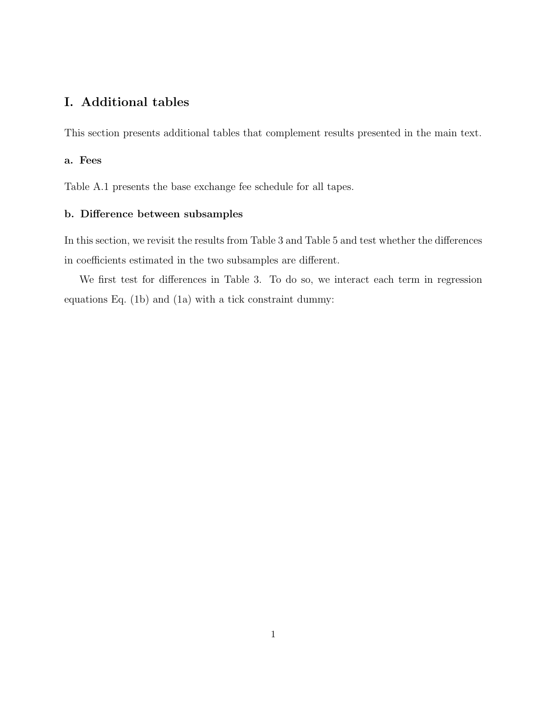# <span id="page-1-0"></span>I. Additional tables

This section presents additional tables that complement results presented in the main text.

### <span id="page-1-1"></span>a. Fees

Table [A.1](#page-14-0) presents the base exchange fee schedule for all tapes.

### <span id="page-1-2"></span>b. Difference between subsamples

In this section, we revisit the results from Table [3](#page-19-0) and Table [5](#page-21-0) and test whether the differences in coefficients estimated in the two subsamples are different.

We first test for differences in Table [3.](#page-19-0) To do so, we interact each term in regression equations Eq. [\(1b\)](#page-0-0) and [\(1a\)](#page-0-0) with a tick constraint dummy: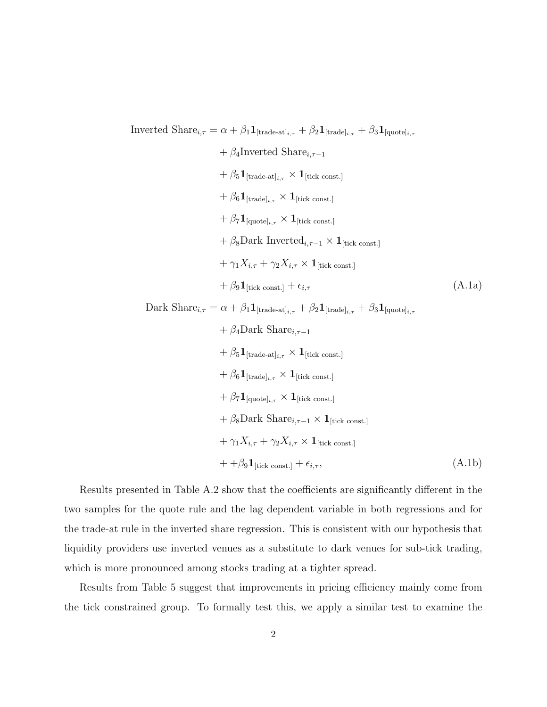Inverted Share<sub>i, $\tau = \alpha + \beta_1 \mathbf{1}_{[\text{trade-at}]_{i,\tau}} + \beta_2 \mathbf{1}_{[\text{trade}]_{i,\tau}} + \beta_3 \mathbf{1}_{[\text{quote}]_{i,\tau}}$ </sub>

+ 
$$
\beta_4
$$
Inverted Share<sub>*i*,*τ*-1</sub>  
+  $\beta_5 \mathbf{1}_{[\text{trade-at}]_{i,\tau}} \times \mathbf{1}_{[\text{tick const.}]}$   
+  $\beta_6 \mathbf{1}_{[\text{trade}]_{i,\tau}} \times \mathbf{1}_{[\text{tick const.}]}$   
+  $\beta_7 \mathbf{1}_{[\text{quote}]_{i,\tau}} \times \mathbf{1}_{[\text{tick const.}]}$   
+  $\beta_8$ Dark Inverted<sub>*i*,*τ*-1</sub> ×  $\mathbf{1}_{[\text{tick const.}]}$   
+  $\gamma_1 X_{i,\tau} + \gamma_2 X_{i,\tau} \times \mathbf{1}_{[\text{tick const.}]}$   
+  $\beta_9 \mathbf{1}_{[\text{tick const.}]} + \epsilon_{i,\tau}$  (A.1a)

Dark Share<sub>i, $\tau = \alpha + \beta_1 \mathbf{1}_{[\text{trade-at}]_{i,\tau}} + \beta_2 \mathbf{1}_{[\text{trade}]_{i,\tau}} + \beta_3 \mathbf{1}_{[\text{quote}]_{i,\tau}}$ </sub>

<span id="page-2-1"></span><span id="page-2-0"></span>+ 
$$
\beta_4
$$
Dark Share<sub>*i*,*τ*-1</sub>  
+  $\beta_5$ **1**[trade-at]<sub>*i*,*τ*</sub> × **1**[tick const.]  
+  $\beta_6$ **1**[trade]<sub>*i*,*τ*</sub> × **1**[tick const.]  
+  $\beta_7$ **1**[quote]<sub>*i*,*τ*</sub> × **1**[tick const.]  
+  $\beta_8$ Dark Share<sub>*i*,*τ*-1</sub> × **1**[tick const.]  
+  $\gamma_1 X_{i,\tau} + \gamma_2 X_{i,\tau}$  × **1**[tick const.]  
+  $\beta_9$ **1**[tick const.] +  $\epsilon_{i,\tau}$ , (A.1b)

Results presented in Table [A.2](#page-15-0) show that the coefficients are significantly different in the two samples for the quote rule and the lag dependent variable in both regressions and for the trade-at rule in the inverted share regression. This is consistent with our hypothesis that liquidity providers use inverted venues as a substitute to dark venues for sub-tick trading, which is more pronounced among stocks trading at a tighter spread.

Results from Table [5](#page-21-0) suggest that improvements in pricing efficiency mainly come from the tick constrained group. To formally test this, we apply a similar test to examine the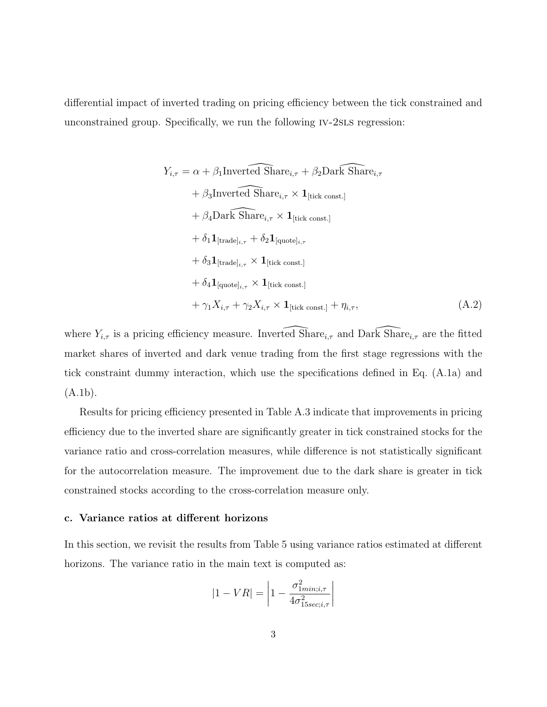differential impact of inverted trading on pricing efficiency between the tick constrained and unconstrained group. Specifically, we run the following iv-2sls regression:

$$
Y_{i,\tau} = \alpha + \beta_1 \text{Inverted Share}_{i,\tau} + \beta_2 \text{Dark Share}_{i,\tau}
$$
  
+  $\beta_3 \text{Inverted Share}_{i,\tau} \times \mathbf{1}_{\text{[tick const.]}}$   
+  $\beta_4 \text{Dark Share}_{i,\tau} \times \mathbf{1}_{\text{[tick const.]}}$   
+  $\delta_1 \mathbf{1}_{\text{[trade]}_{i,\tau}} + \delta_2 \mathbf{1}_{\text{[quote]}_{i,\tau}}$   
+  $\delta_3 \mathbf{1}_{\text{[trade]}_{i,\tau}} \times \mathbf{1}_{\text{[tick const.]}}$   
+  $\delta_4 \mathbf{1}_{\text{[quote]}_{i,\tau}} \times \mathbf{1}_{\text{[tick const.]}}$   
+  $\gamma_1 X_{i,\tau} + \gamma_2 X_{i,\tau} \times \mathbf{1}_{\text{[tick const.]}} + \eta_{i,\tau},$  (A.2)

where  $Y_{i,\tau}$  is a pricing efficiency measure. Inverted  $\widehat{\text{Share}}_{i,\tau}$  and Dark  $\widehat{\text{Share}}_{i,\tau}$  are the fitted market shares of inverted and dark venue trading from the first stage regressions with the tick constraint dummy interaction, which use the specifications defined in Eq. [\(A.1a\)](#page-2-0) and [\(A.1b\)](#page-2-1).

Results for pricing efficiency presented in Table [A.3](#page-16-0) indicate that improvements in pricing efficiency due to the inverted share are significantly greater in tick constrained stocks for the variance ratio and cross-correlation measures, while difference is not statistically significant for the autocorrelation measure. The improvement due to the dark share is greater in tick constrained stocks according to the cross-correlation measure only.

### <span id="page-3-0"></span>c. Variance ratios at different horizons

In this section, we revisit the results from Table [5](#page-21-0) using variance ratios estimated at different horizons. The variance ratio in the main text is computed as:

$$
|1 - VR| = \left| 1 - \frac{\sigma_{1min;i,\tau}^2}{4\sigma_{15sec;i,\tau}^2} \right|
$$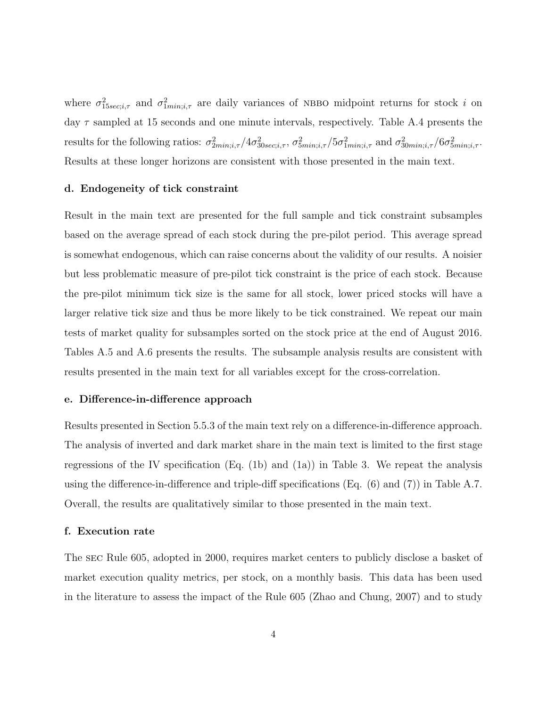where  $\sigma_{15sec;i,\tau}^2$  and  $\sigma_{1min;i,\tau}^2$  are daily variances of NBBO midpoint returns for stock i on day  $\tau$  sampled at 15 seconds and one minute intervals, respectively. Table [A.4](#page-17-0) presents the results for the following ratios:  $\sigma_{2min;i,\tau}^2/4\sigma_{30sec;i,\tau}^2$ ,  $\sigma_{5min;i,\tau}^2/5\sigma_{1min;i,\tau}^2$  and  $\sigma_{30min;i,\tau}^2/6\sigma_{5min;i,\tau}^2$ . Results at these longer horizons are consistent with those presented in the main text.

### <span id="page-4-0"></span>d. Endogeneity of tick constraint

Result in the main text are presented for the full sample and tick constraint subsamples based on the average spread of each stock during the pre-pilot period. This average spread is somewhat endogenous, which can raise concerns about the validity of our results. A noisier but less problematic measure of pre-pilot tick constraint is the price of each stock. Because the pre-pilot minimum tick size is the same for all stock, lower priced stocks will have a larger relative tick size and thus be more likely to be tick constrained. We repeat our main tests of market quality for subsamples sorted on the stock price at the end of August 2016. Tables [A.5](#page-18-0) and [A.6](#page-19-0) presents the results. The subsample analysis results are consistent with results presented in the main text for all variables except for the cross-correlation.

### <span id="page-4-1"></span>e. Difference-in-difference approach

Results presented in Section [5.](#page-10-0)[5.3](#page-0-0) of the main text rely on a difference-in-difference approach. The analysis of inverted and dark market share in the main text is limited to the first stage regressions of the IV specification (Eq. [\(1b\)](#page-0-0) and [\(1a\)](#page-0-0)) in Table [3.](#page-19-0) We repeat the analysis using the difference-in-difference and triple-diff specifications (Eq. [\(6\)](#page-0-0) and [\(7\)](#page-0-0)) in Table [A.7.](#page-20-0) Overall, the results are qualitatively similar to those presented in the main text.

### <span id="page-4-2"></span>f. Execution rate

The sec Rule 605, adopted in 2000, requires market centers to publicly disclose a basket of market execution quality metrics, per stock, on a monthly basis. This data has been used in the literature to assess the impact of the Rule 605 [\(Zhao and Chung, 2007\)](#page-12-0) and to study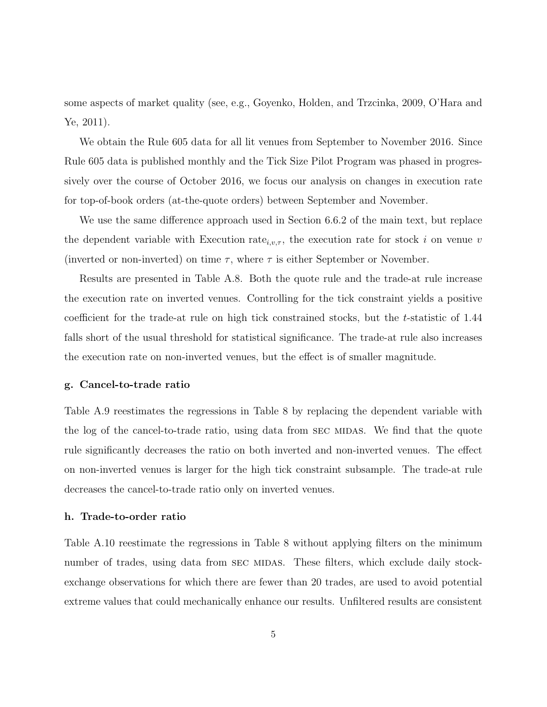some aspects of market quality (see, e.g., [Goyenko, Holden, and Trzcinka, 2009,](#page-12-1) [O'Hara and](#page-12-2) [Ye, 2011\)](#page-12-2).

We obtain the Rule 605 data for all lit venues from September to November 2016. Since Rule 605 data is published monthly and the Tick Size Pilot Program was phased in progressively over the course of October 2016, we focus our analysis on changes in execution rate for top-of-book orders (at-the-quote orders) between September and November.

We use the same difference approach used in Section [6.6.2](#page-0-0) of the main text, but replace the dependent variable with Execution rate<sub>i,v, $\tau$ </sub>, the execution rate for stock i on venue v (inverted or non-inverted) on time  $\tau$ , where  $\tau$  is either September or November.

Results are presented in Table [A.8.](#page-21-0) Both the quote rule and the trade-at rule increase the execution rate on inverted venues. Controlling for the tick constraint yields a positive coefficient for the trade-at rule on high tick constrained stocks, but the t-statistic of 1.44 falls short of the usual threshold for statistical significance. The trade-at rule also increases the execution rate on non-inverted venues, but the effect is of smaller magnitude.

#### <span id="page-5-0"></span>g. Cancel-to-trade ratio

Table [A.9](#page-22-0) reestimates the regressions in Table [8](#page-24-0) by replacing the dependent variable with the log of the cancel-to-trade ratio, using data from SEC MIDAS. We find that the quote rule significantly decreases the ratio on both inverted and non-inverted venues. The effect on non-inverted venues is larger for the high tick constraint subsample. The trade-at rule decreases the cancel-to-trade ratio only on inverted venues.

### <span id="page-5-1"></span>h. Trade-to-order ratio

Table [A.10](#page-23-0) reestimate the regressions in Table [8](#page-24-0) without applying filters on the minimum number of trades, using data from SEC MIDAS. These filters, which exclude daily stockexchange observations for which there are fewer than 20 trades, are used to avoid potential extreme values that could mechanically enhance our results. Unfiltered results are consistent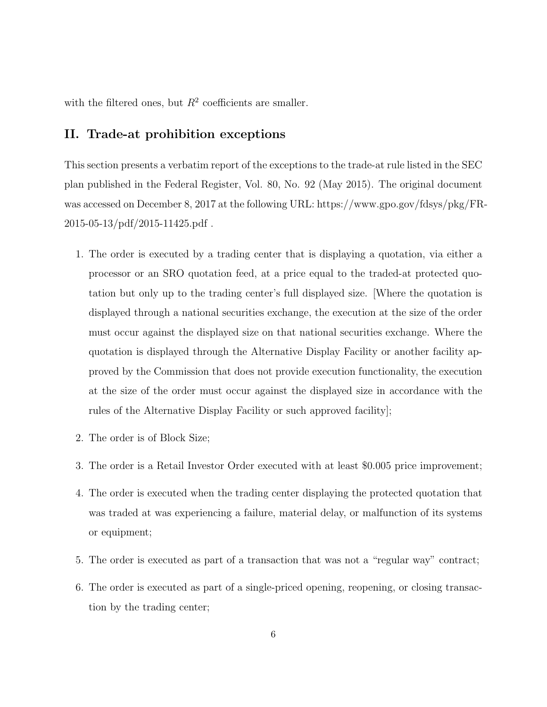with the filtered ones, but  $R^2$  coefficients are smaller.

## <span id="page-6-0"></span>II. Trade-at prohibition exceptions

This section presents a verbatim report of the exceptions to the trade-at rule listed in the SEC plan published in the Federal Register, Vol. 80, No. 92 (May 2015). The original document was accessed on December 8, 2017 at the following URL: https://www.gpo.gov/fdsys/pkg/FR- $2015-05-13/pdf/2015-11425.pdf$ .

- 1. The order is executed by a trading center that is displaying a quotation, via either a processor or an SRO quotation feed, at a price equal to the traded-at protected quotation but only up to the trading center's full displayed size. [Where the quotation is displayed through a national securities exchange, the execution at the size of the order must occur against the displayed size on that national securities exchange. Where the quotation is displayed through the Alternative Display Facility or another facility approved by the Commission that does not provide execution functionality, the execution at the size of the order must occur against the displayed size in accordance with the rules of the Alternative Display Facility or such approved facility];
- 2. The order is of Block Size;
- 3. The order is a Retail Investor Order executed with at least \$0.005 price improvement;
- 4. The order is executed when the trading center displaying the protected quotation that was traded at was experiencing a failure, material delay, or malfunction of its systems or equipment;
- 5. The order is executed as part of a transaction that was not a "regular way" contract;
- 6. The order is executed as part of a single-priced opening, reopening, or closing transaction by the trading center;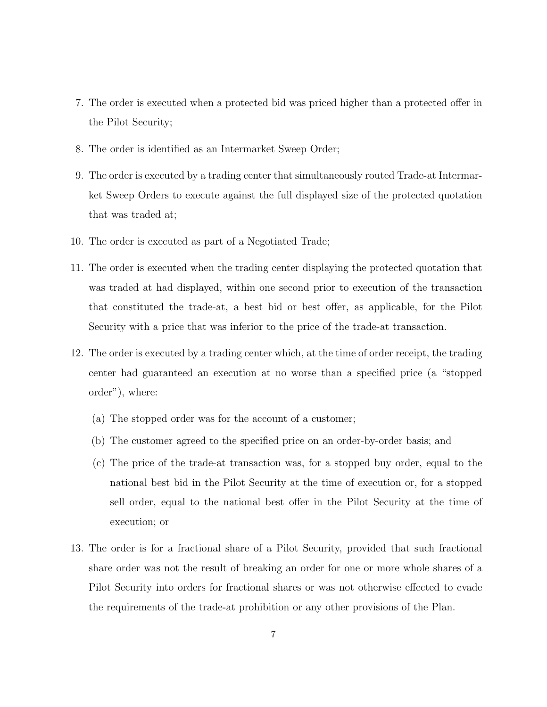- 7. The order is executed when a protected bid was priced higher than a protected offer in the Pilot Security;
- 8. The order is identified as an Intermarket Sweep Order;
- 9. The order is executed by a trading center that simultaneously routed Trade-at Intermarket Sweep Orders to execute against the full displayed size of the protected quotation that was traded at;
- 10. The order is executed as part of a Negotiated Trade;
- 11. The order is executed when the trading center displaying the protected quotation that was traded at had displayed, within one second prior to execution of the transaction that constituted the trade-at, a best bid or best offer, as applicable, for the Pilot Security with a price that was inferior to the price of the trade-at transaction.
- 12. The order is executed by a trading center which, at the time of order receipt, the trading center had guaranteed an execution at no worse than a specified price (a "stopped order"), where:
	- (a) The stopped order was for the account of a customer;
	- (b) The customer agreed to the specified price on an order-by-order basis; and
	- (c) The price of the trade-at transaction was, for a stopped buy order, equal to the national best bid in the Pilot Security at the time of execution or, for a stopped sell order, equal to the national best offer in the Pilot Security at the time of execution; or
- 13. The order is for a fractional share of a Pilot Security, provided that such fractional share order was not the result of breaking an order for one or more whole shares of a Pilot Security into orders for fractional shares or was not otherwise effected to evade the requirements of the trade-at prohibition or any other provisions of the Plan.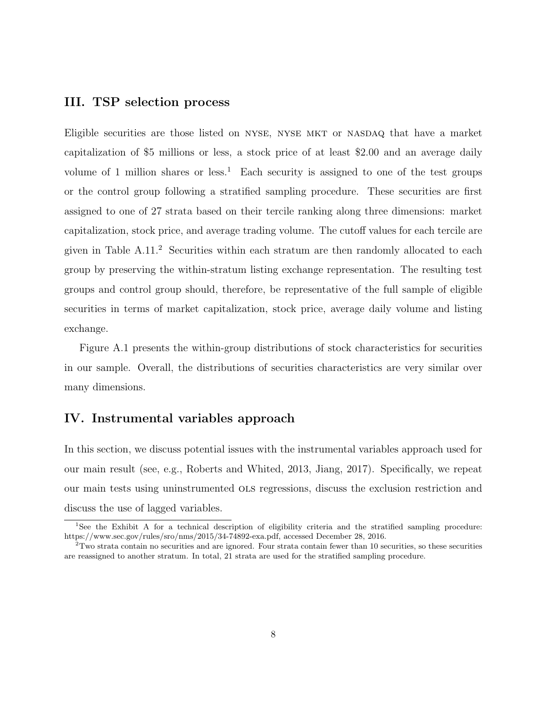### <span id="page-8-0"></span>III. TSP selection process

Eligible securities are those listed on nyse, nyse mkt or nasdaq that have a market capitalization of \$5 millions or less, a stock price of at least \$2.00 and an average daily volume of [1](#page-0-0) million shares or less.<sup>1</sup> Each security is assigned to one of the test groups or the control group following a stratified sampling procedure. These securities are first assigned to one of 27 strata based on their tercile ranking along three dimensions: market capitalization, stock price, and average trading volume. The cutoff values for each tercile are given in Table  $A.11<sup>2</sup>$  $A.11<sup>2</sup>$  $A.11<sup>2</sup>$  Securities within each stratum are then randomly allocated to each group by preserving the within-stratum listing exchange representation. The resulting test groups and control group should, therefore, be representative of the full sample of eligible securities in terms of market capitalization, stock price, average daily volume and listing exchange.

Figure [A.1](#page-13-0) presents the within-group distributions of stock characteristics for securities in our sample. Overall, the distributions of securities characteristics are very similar over many dimensions.

### <span id="page-8-1"></span>IV. Instrumental variables approach

In this section, we discuss potential issues with the instrumental variables approach used for our main result (see, e.g., [Roberts and Whited, 2013,](#page-12-3) [Jiang, 2017\)](#page-12-4). Specifically, we repeat our main tests using uninstrumented ols regressions, discuss the exclusion restriction and discuss the use of lagged variables.

<sup>&</sup>lt;sup>1</sup>See the Exhibit A for a technical description of eligibility criteria and the stratified sampling procedure: https://www.sec.gov/rules/sro/nms/2015/34-74892-exa.pdf, accessed December 28, 2016.

 $2$ Two strata contain no securities and are ignored. Four strata contain fewer than 10 securities, so these securities are reassigned to another stratum. In total, 21 strata are used for the stratified sampling procedure.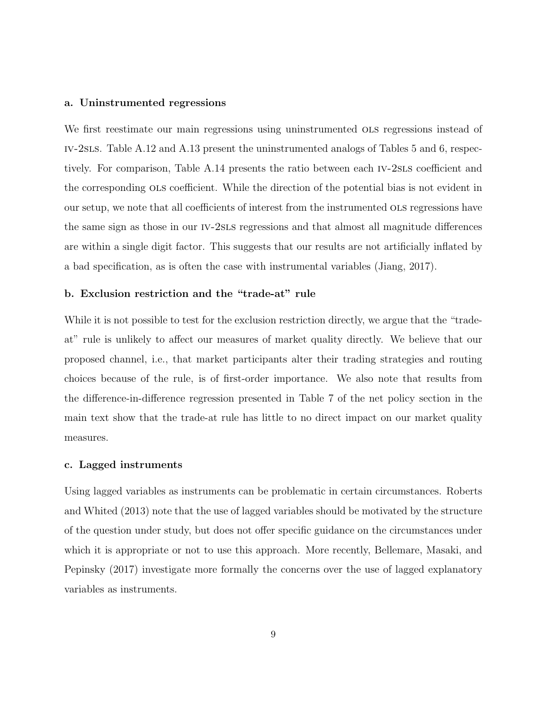#### <span id="page-9-0"></span>a. Uninstrumented regressions

We first reestimate our main regressions using uninstrumented ols regressions instead of iv-2sls. Table [A.12](#page-25-0) and [A.13](#page-26-0) present the uninstrumented analogs of Tables [5](#page-21-0) and [6,](#page-22-0) respectively. For comparison, Table [A.14](#page-27-0) presents the ratio between each iv-2sls coefficient and the corresponding ols coefficient. While the direction of the potential bias is not evident in our setup, we note that all coefficients of interest from the instrumented ols regressions have the same sign as those in our iv-2sls regressions and that almost all magnitude differences are within a single digit factor. This suggests that our results are not artificially inflated by a bad specification, as is often the case with instrumental variables [\(Jiang, 2017\)](#page-12-4).

### <span id="page-9-1"></span>b. Exclusion restriction and the "trade-at" rule

While it is not possible to test for the exclusion restriction directly, we argue that the "tradeat" rule is unlikely to affect our measures of market quality directly. We believe that our proposed channel, i.e., that market participants alter their trading strategies and routing choices because of the rule, is of first-order importance. We also note that results from the difference-in-difference regression presented in Table [7](#page-23-0) of the net policy section in the main text show that the trade-at rule has little to no direct impact on our market quality measures.

#### <span id="page-9-2"></span>c. Lagged instruments

Using lagged variables as instruments can be problematic in certain circumstances. [Roberts](#page-12-3) [and Whited](#page-12-3) [\(2013\)](#page-12-3) note that the use of lagged variables should be motivated by the structure of the question under study, but does not offer specific guidance on the circumstances under which it is appropriate or not to use this approach. More recently, [Bellemare, Masaki, and](#page-12-5) [Pepinsky](#page-12-5) [\(2017\)](#page-12-5) investigate more formally the concerns over the use of lagged explanatory variables as instruments.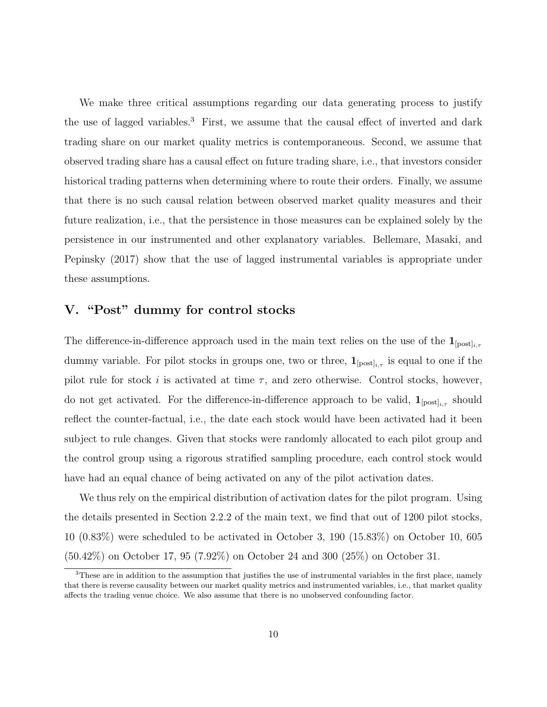We make three critical assumptions regarding our data generating process to justify the use of lagged variables.<sup>[3](#page-0-0)</sup> First, we assume that the causal effect of inverted and dark trading share on our market quality metrics is contemporaneous. Second, we assume that observed trading share has a causal effect on future trading share, i.e., that investors consider historical trading patterns when determining where to route their orders. Finally, we assume that there is no such causal relation between observed market quality measures and their future realization, i.e., that the persistence in those measures can be explained solely by the persistence in our instrumented and other explanatory variables. [Bellemare, Masaki, and](#page-12-5) [Pepinsky](#page-12-5) [\(2017\)](#page-12-5) show that the use of lagged instrumental variables is appropriate under these assumptions.

# <span id="page-10-0"></span>V. "Post" dummy for control stocks

The difference-in-difference approach used in the main text relies on the use of the  $\mathbf{1}_{[post]_{i,\tau}}$ dummy variable. For pilot stocks in groups one, two or three,  $\mathbf{1}_{[\text{post}]_{i,\tau}}$  is equal to one if the pilot rule for stock i is activated at time  $\tau$ , and zero otherwise. Control stocks, however, do not get activated. For the difference-in-difference approach to be valid,  $\mathbf{1}_{[\text{post}]_{i,\tau}}$  should reflect the counter-factual, i.e., the date each stock would have been activated had it been subject to rule changes. Given that stocks were randomly allocated to each pilot group and the control group using a rigorous stratified sampling procedure, each control stock would have had an equal chance of being activated on any of the pilot activation dates.

We thus rely on the empirical distribution of activation dates for the pilot program. Using the details presented in Section [2](#page-6-0)[.2.2](#page-0-0) of the main text, we find that out of 1200 pilot stocks, 10 (0.83%) were scheduled to be activated in October 3, 190 (15.83%) on October 10, 605 (50.42%) on October 17, 95 (7.92%) on October 24 and 300 (25%) on October 31.

<sup>&</sup>lt;sup>3</sup>These are in addition to the assumption that justifies the use of instrumental variables in the first place, namely that there is reverse causality between our market quality metrics and instrumented variables, i.e., that market quality affects the trading venue choice. We also assume that there is no unobserved confounding factor.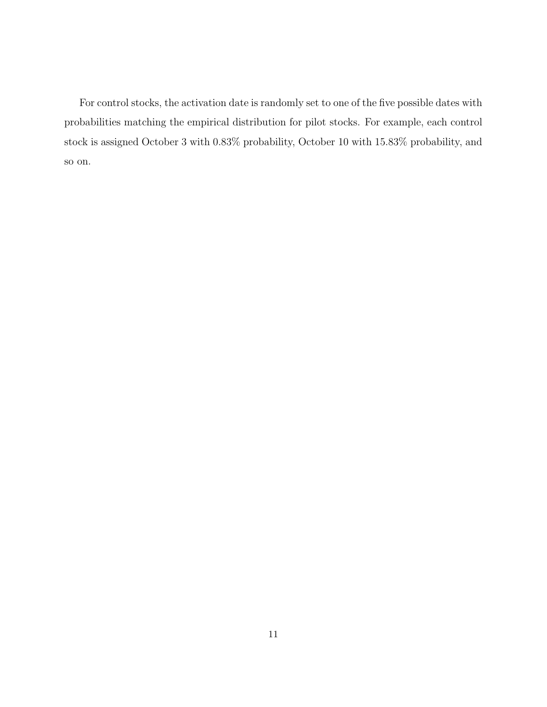For control stocks, the activation date is randomly set to one of the five possible dates with probabilities matching the empirical distribution for pilot stocks. For example, each control stock is assigned October 3 with 0.83% probability, October 10 with 15.83% probability, and so on.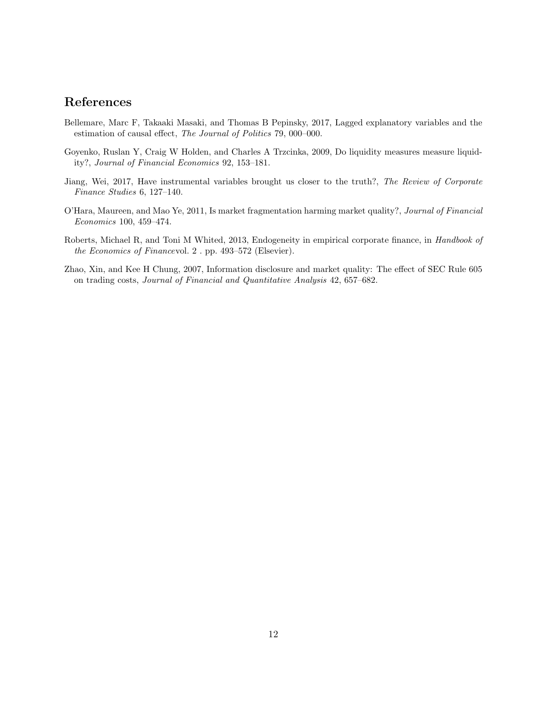# References

- <span id="page-12-5"></span>Bellemare, Marc F, Takaaki Masaki, and Thomas B Pepinsky, 2017, Lagged explanatory variables and the estimation of causal effect, The Journal of Politics 79, 000–000.
- <span id="page-12-1"></span>Goyenko, Ruslan Y, Craig W Holden, and Charles A Trzcinka, 2009, Do liquidity measures measure liquidity?, Journal of Financial Economics 92, 153–181.
- <span id="page-12-4"></span>Jiang, Wei, 2017, Have instrumental variables brought us closer to the truth?, The Review of Corporate Finance Studies 6, 127–140.
- <span id="page-12-2"></span>O'Hara, Maureen, and Mao Ye, 2011, Is market fragmentation harming market quality?, Journal of Financial Economics 100, 459–474.
- <span id="page-12-3"></span>Roberts, Michael R, and Toni M Whited, 2013, Endogeneity in empirical corporate finance, in Handbook of the Economics of Financevol. 2 . pp. 493–572 (Elsevier).
- <span id="page-12-0"></span>Zhao, Xin, and Kee H Chung, 2007, Information disclosure and market quality: The effect of SEC Rule 605 on trading costs, Journal of Financial and Quantitative Analysis 42, 657–682.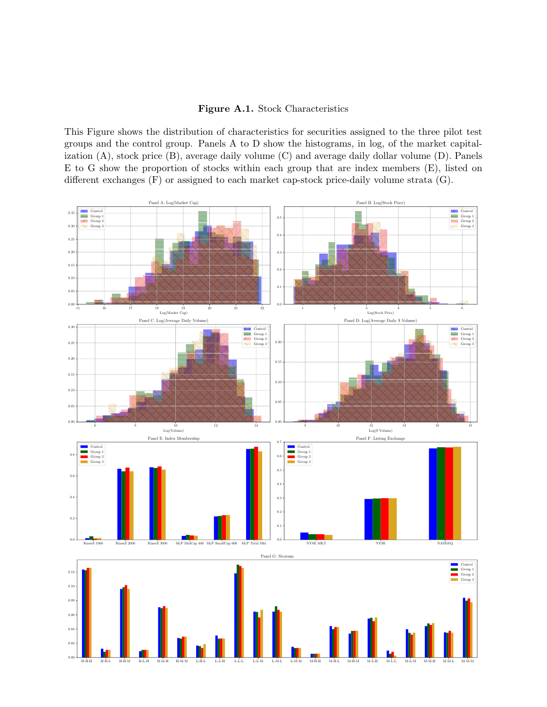### Figure A.1. Stock Characteristics

<span id="page-13-0"></span>This Figure shows the distribution of characteristics for securities assigned to the three pilot test groups and the control group. Panels A to D show the histograms, in log, of the market capitalization (A), stock price (B), average daily volume (C) and average daily dollar volume (D). Panels E to G show the proportion of stocks within each group that are index members (E), listed on different exchanges (F) or assigned to each market cap-stock price-daily volume strata (G).

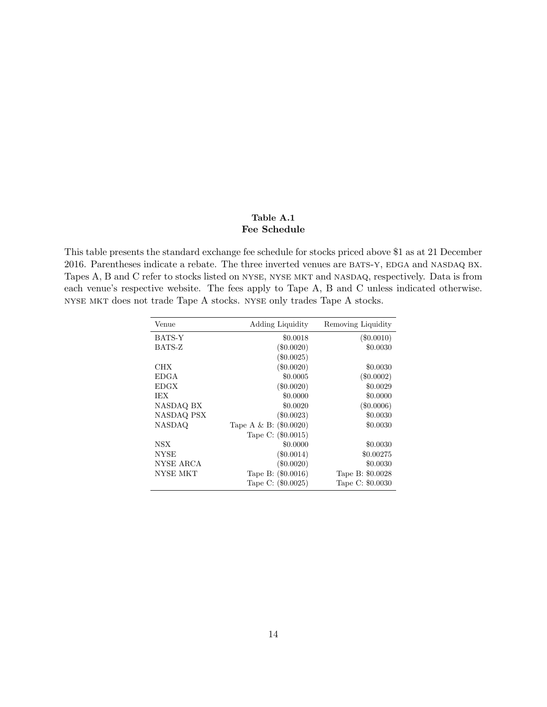### Table A.1 Fee Schedule

<span id="page-14-0"></span>This table presents the standard exchange fee schedule for stocks priced above \$1 as at 21 December 2016. Parentheses indicate a rebate. The three inverted venues are BATS-Y, EDGA and NASDAQ BX. Tapes A, B and C refer to stocks listed on NYSE, NYSE MKT and NASDAQ, respectively. Data is from each venue's respective website. The fees apply to Tape A, B and C unless indicated otherwise. nyse mkt does not trade Tape A stocks. nyse only trades Tape A stocks.

| Venue             | Adding Liquidity         | Removing Liquidity |
|-------------------|--------------------------|--------------------|
| BATS-Y            | \$0.0018                 | $(\$0.0010)$       |
| BATS-Z            | $(\$0.0020)$             | \$0.0030           |
|                   | $(\$0.0025)$             |                    |
| CHX               | $(\$0.0020)$             | \$0.0030           |
| EDGA              | \$0.0005                 | $(\$0.0002)$       |
| <b>EDGX</b>       | $(\$0.0020)$             | \$0.0029           |
| IEX.              | \$0.0000                 | \$0.0000           |
| NASDAQ BX         | \$0.0020                 | $(\$0.0006)$       |
| <b>NASDAQ PSX</b> | $(\$0.0023)$             | \$0.0030           |
| <b>NASDAQ</b>     | Tape A & B: $(\$0.0020)$ | \$0.0030           |
|                   | Tape C: (\$0.0015)       |                    |
| NSX               | \$0.0000                 | \$0.0030           |
| NYSE              | $(\$0.0014)$             | \$0.00275          |
| NYSE ARCA         | $(\$0.0020)$             | \$0.0030           |
| NYSE MKT          | Tape B: (\$0.0016)       | Tape B: \$0.0028   |
|                   | Tape C: (\$0.0025)       | Tape C: \$0.0030   |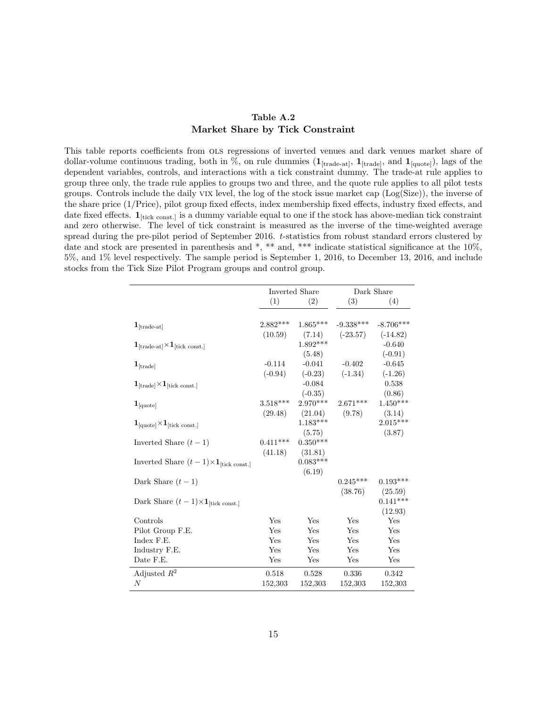### Table A.2 Market Share by Tick Constraint

<span id="page-15-0"></span>This table reports coefficients from ols regressions of inverted venues and dark venues market share of dollar-volume continuous trading, both in %, on rule dummies  $(1_{[trade-at]}, 1_{[trade]},$  and  $1_{[quoted]})$ , lags of the dependent variables, controls, and interactions with a tick constraint dummy. The trade-at rule applies to group three only, the trade rule applies to groups two and three, and the quote rule applies to all pilot tests groups. Controls include the daily vix level, the log of the stock issue market cap (Log(Size)), the inverse of the share price (1/Price), pilot group fixed effects, index membership fixed effects, industry fixed effects, and date fixed effects.  $\mathbf{1}_{\text{tick const.}}$  is a dummy variable equal to one if the stock has above-median tick constraint and zero otherwise. The level of tick constraint is measured as the inverse of the time-weighted average spread during the pre-pilot period of September 2016. t-statistics from robust standard errors clustered by date and stock are presented in parenthesis and \*, \*\* and, \*\*\* indicate statistical significance at the  $10\%$ , 5%, and 1% level respectively. The sample period is September 1, 2016, to December 13, 2016, and include stocks from the Tick Size Pilot Program groups and control group.

|                                                                 |            | Inverted Share |             | Dark Share  |
|-----------------------------------------------------------------|------------|----------------|-------------|-------------|
|                                                                 | (1)        | (2)            | (3)         | (4)         |
|                                                                 |            |                |             |             |
| $\mathbf{1}_{[\text{trade-at}]}$                                | $2.882***$ | $1.865***$     | $-9.338***$ | $-8.706***$ |
|                                                                 | (10.59)    | (7.14)         | $(-23.57)$  | $(-14.82)$  |
| $1_{\text{[trade-at]}} \times 1_{\text{[tick const.]}}$         |            | $1.892***$     |             | $-0.640$    |
|                                                                 |            | (5.48)         |             | $(-0.91)$   |
| $\mathbf{1}_{[\text{trade}]}$                                   | $-0.114$   | $-0.041$       | $-0.402$    | $-0.645$    |
|                                                                 | $(-0.94)$  | $(-0.23)$      | $(-1.34)$   | $(-1.26)$   |
| $1_{\text{[trade]}} \times 1_{\text{[tick const.]}}$            |            | $-0.084$       |             | 0.538       |
|                                                                 |            | $(-0.35)$      |             | (0.86)      |
| $\mathbf{1}_{\text{[quote]}}$                                   | $3.518***$ | $2.970***$     | $2.671***$  | $1.450***$  |
|                                                                 | (29.48)    | (21.04)        | (9.78)      | (3.14)      |
| $1_{\text{[quote]}} \times 1_{\text{[tick const.]}}$            |            | $1.183***$     |             | $2.015***$  |
|                                                                 |            | (5.75)         |             | (3.87)      |
| Inverted Share $(t-1)$                                          | $0.411***$ | $0.350***$     |             |             |
|                                                                 | (41.18)    | (31.81)        |             |             |
| Inverted Share $(t-1) \times \mathbf{1}_{\text{[tick const.]}}$ |            | $0.083***$     |             |             |
|                                                                 |            | (6.19)         |             |             |
| Dark Share $(t-1)$                                              |            |                | $0.245***$  | $0.193***$  |
|                                                                 |            |                | (38.76)     | (25.59)     |
| Dark Share $(t-1) \times \mathbf{1}_{\text{[tick const.]}}$     |            |                |             | $0.141***$  |
|                                                                 |            |                |             | (12.93)     |
| Controls                                                        | Yes        | Yes            | Yes         | Yes         |
| Pilot Group F.E.                                                | Yes        | Yes            | Yes         | Yes         |
| Index F.E.                                                      | Yes        | Yes            | Yes         | Yes         |
| Industry F.E.                                                   | Yes        | Yes            | Yes         | Yes         |
| Date F.E.                                                       | Yes        | Yes            | Yes         | Yes         |
| Adjusted $R^2$                                                  | 0.518      | 0.528          | 0.336       | 0.342       |
| N                                                               | 152,303    | 152,303        | 152,303     | 152,303     |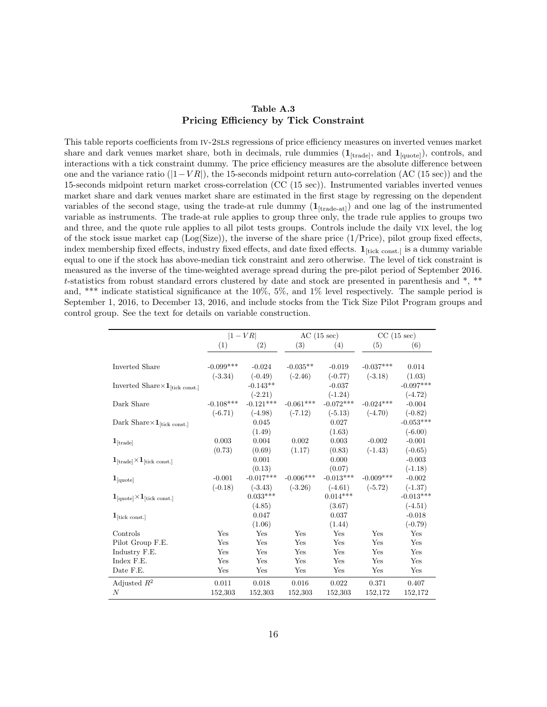### Table A.3 Pricing Efficiency by Tick Constraint

<span id="page-16-0"></span>This table reports coefficients from iv-2sls regressions of price efficiency measures on inverted venues market share and dark venues market share, both in decimals, rule dummies  $(1_{\text{[trade]}}, \text{and } 1_{\text{[quoted]}})$ , controls, and interactions with a tick constraint dummy. The price efficiency measures are the absolute difference between one and the variance ratio  $(|1-VR|)$ , the 15-seconds midpoint return auto-correlation (AC (15 sec)) and the 15-seconds midpoint return market cross-correlation (CC (15 sec)). Instrumented variables inverted venues market share and dark venues market share are estimated in the first stage by regressing on the dependent variables of the second stage, using the trade-at rule dummy  $(1_{[trade-at]})$  and one lag of the instrumented variable as instruments. The trade-at rule applies to group three only, the trade rule applies to groups two and three, and the quote rule applies to all pilot tests groups. Controls include the daily vix level, the log of the stock issue market cap  $(Log(Size))$ , the inverse of the share price  $(1/Price)$ , pilot group fixed effects, index membership fixed effects, industry fixed effects, and date fixed effects.  $\mathbf{1}_{[\text{tick const.}]}$  is a dummy variable equal to one if the stock has above-median tick constraint and zero otherwise. The level of tick constraint is measured as the inverse of the time-weighted average spread during the pre-pilot period of September 2016. t-statistics from robust standard errors clustered by date and stock are presented in parenthesis and \*, \*\* and, \*\*\* indicate statistical significance at the 10%, 5%, and 1% level respectively. The sample period is September 1, 2016, to December 13, 2016, and include stocks from the Tick Size Pilot Program groups and control group. See the text for details on variable construction.

|                                                      | $ 1-VR $    |             |             | AC(15 sec)  | CC(15 sec)  |             |
|------------------------------------------------------|-------------|-------------|-------------|-------------|-------------|-------------|
|                                                      | (1)         | (2)         | (3)         | (4)         | (5)         | (6)         |
|                                                      |             |             |             |             |             |             |
| Inverted Share                                       | $-0.099***$ | $-0.024$    | $-0.035**$  | $-0.019$    | $-0.037***$ | 0.014       |
|                                                      | $(-3.34)$   | $(-0.49)$   | $(-2.46)$   | $(-0.77)$   | $(-3.18)$   | (1.03)      |
| Inverted Share $\times$ 1 <sub>[tick const.]</sub>   |             | $-0.143**$  |             | $-0.037$    |             | $-0.097***$ |
|                                                      |             | $(-2.21)$   |             | $(-1.24)$   |             | $(-4.72)$   |
| Dark Share                                           | $-0.108***$ | $-0.121***$ | $-0.061***$ | $-0.072***$ | $-0.024***$ | $-0.004$    |
|                                                      | $(-6.71)$   | $(-4.98)$   | $(-7.12)$   | $(-5.13)$   | $(-4.70)$   | $(-0.82)$   |
| Dark Share $\times\mathbf{1}_{\text{[tick const.]}}$ |             | 0.045       |             | 0.027       |             | $-0.053***$ |
|                                                      |             | (1.49)      |             | (1.63)      |             | $(-6.00)$   |
| $\mathbf{1}_{[\text{trade}]}$                        | 0.003       | 0.004       | 0.002       | 0.003       | $-0.002$    | $-0.001$    |
|                                                      | (0.73)      | (0.69)      | (1.17)      | (0.83)      | $(-1.43)$   | $(-0.65)$   |
| $1_{[\text{trade}]} \times 1_{[\text{tick const.}]}$ |             | 0.001       |             | 0.000       |             | $-0.003$    |
|                                                      |             | (0.13)      |             | (0.07)      |             | $(-1.18)$   |
| $\mathbf{1}_{\left[\text{quote}\right]}$             | $-0.001$    | $-0.017***$ | $-0.006***$ | $-0.013***$ | $-0.009***$ | $-0.002$    |
|                                                      | $(-0.18)$   | $(-3.43)$   | $(-3.26)$   | $(-4.61)$   | $(-5.72)$   | $(-1.37)$   |
| $1_{\text{[quote]}} \times 1_{\text{[tick const.]}}$ |             | $0.033***$  |             | $0.014***$  |             | $-0.013***$ |
|                                                      |             | (4.85)      |             | (3.67)      |             | $(-4.51)$   |
| $\mathbf{1}_{\text{[tick const.]}}$                  |             | 0.047       |             | 0.037       |             | $-0.018$    |
|                                                      |             | (1.06)      |             | (1.44)      |             | $(-0.79)$   |
| Controls                                             | Yes         | Yes         | Yes         | Yes         | Yes         | Yes         |
| Pilot Group F.E.                                     | Yes         | Yes         | Yes         | Yes         | Yes         | Yes         |
| Industry F.E.                                        | Yes         | Yes         | Yes         | Yes         | Yes         | Yes         |
| Index F.E.                                           | Yes         | Yes         | Yes         | Yes         | Yes         | Yes         |
| Date F.E.                                            | Yes         | Yes         | Yes         | Yes         | Yes         | Yes         |
| Adjusted $R^2$                                       | 0.011       | 0.018       | 0.016       | 0.022       | 0.371       | 0.407       |
| $\boldsymbol{N}$                                     | 152,303     | 152,303     | 152,303     | 152,303     | 152,172     | 152,172     |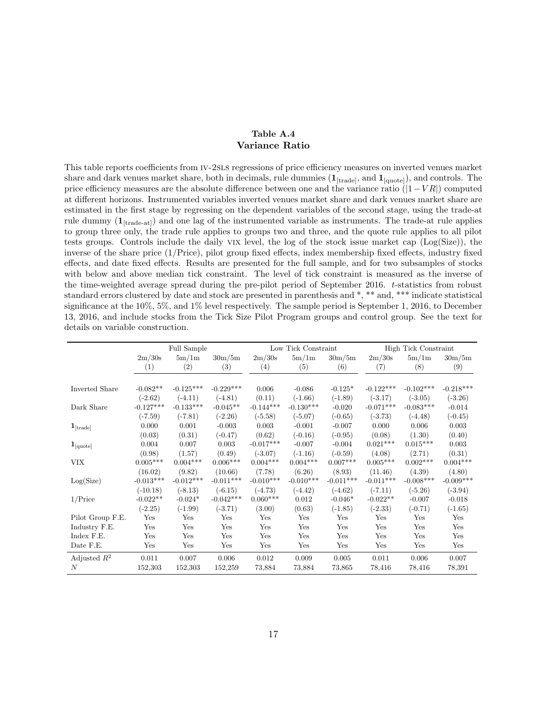### Table A.4 Variance Ratio

<span id="page-17-0"></span>This table reports coefficients from iv-2sls regressions of price efficiency measures on inverted venues market share and dark venues market share, both in decimals, rule dummies  $(1_{[trade]},$  and  $1_{[quoted]})$ , and controls. The price efficiency measures are the absolute difference between one and the variance ratio  $(|1-VR|)$  computed at different horizons. Instrumented variables inverted venues market share and dark venues market share are estimated in the first stage by regressing on the dependent variables of the second stage, using the trade-at rule dummy  $(1_{[trade-at]})$  and one lag of the instrumented variable as instruments. The trade-at rule applies to group three only, the trade rule applies to groups two and three, and the quote rule applies to all pilot tests groups. Controls include the daily vix level, the log of the stock issue market cap (Log(Size)), the inverse of the share price (1/Price), pilot group fixed effects, index membership fixed effects, industry fixed effects, and date fixed effects. Results are presented for the full sample, and for two subsamples of stocks with below and above median tick constraint. The level of tick constraint is measured as the inverse of the time-weighted average spread during the pre-pilot period of September 2016. t-statistics from robust standard errors clustered by date and stock are presented in parenthesis and \*, \*\* and, \*\*\* indicate statistical significance at the 10%, 5%, and 1% level respectively. The sample period is September 1, 2016, to December 13, 2016, and include stocks from the Tick Size Pilot Program groups and control group. See the text for details on variable construction.

|                                          |                 | Full Sample |             |                   | Low Tick Constraint |             |             | High Tick Constraint |             |
|------------------------------------------|-----------------|-------------|-------------|-------------------|---------------------|-------------|-------------|----------------------|-------------|
|                                          | 2m/30s          | 5m/1m       | 30m/5m      | 2m/30s            | 5m/1m               | 30m/5m      | 2m/30s      | 5m/1m                | 30m/5m      |
|                                          | (1)             | (2)         | (3)         | $\left( 4\right)$ | (5)                 | (6)         | (7)         | (8)                  | (9)         |
|                                          |                 |             |             |                   |                     |             |             |                      |             |
| Inverted Share                           | $-0.082**$      | $-0.125***$ | $-0.229***$ | 0.006             | $-0.086$            | $-0.125*$   | $-0.122***$ | $-0.102***$          | $-0.218***$ |
|                                          | $(-2.62)$       | $(-4.11)$   | $(-4.81)$   | (0.11)            | $(-1.66)$           | $(-1.89)$   | $(-3.17)$   | $(-3.05)$            | $(-3.26)$   |
| Dark Share                               | $-0.127***$     | $-0.133***$ | $-0.045**$  | $-0.144***$       | $-0.130***$         | $-0.020$    | $-0.071***$ | $-0.083***$          | $-0.014$    |
|                                          | $(-7.59)$       | $(-7.81)$   | $(-2.26)$   | $(-5.58)$         | $(-5.07)$           | $(-0.65)$   | $(-3.73)$   | $(-4.48)$            | $(-0.45)$   |
| $\mathbf{1}_{[\text{trade}]}$            | 0.000           | 0.001       | $-0.003$    | 0.003             | $-0.001$            | $-0.007$    | 0.000       | 0.006                | 0.003       |
|                                          | (0.03)          | (0.31)      | $(-0.47)$   | (0.62)            | $(-0.16)$           | $(-0.95)$   | (0.08)      | (1.30)               | (0.40)      |
| $\mathbf{1}_{\left[\text{quote}\right]}$ | 0.004           | 0.007       | 0.003       | $-0.017***$       | $-0.007$            | $-0.004$    | $0.021***$  | $0.015***$           | 0.003       |
|                                          | (0.98)          | (1.57)      | (0.49)      | $(-3.07)$         | $(-1.16)$           | $(-0.59)$   | (4.08)      | (2.71)               | (0.31)      |
| VIX                                      | $0.005^{***}\,$ | $0.004***$  | $0.006***$  | $0.004***$        | $0.004***$          | $0.007***$  | $0.005***$  | $0.002***$           | $0.004***$  |
|                                          | (16.02)         | (9.82)      | (10.66)     | (7.78)            | (6.26)              | (8.93)      | (11.46)     | (4.39)               | (4.80)      |
| Log(Size)                                | $-0.013***$     | $-0.012***$ | $-0.011***$ | $-0.010***$       | $-0.010***$         | $-0.011***$ | $-0.011***$ | $-0.008***$          | $-0.009***$ |
|                                          | $(-10.18)$      | $(-8.13)$   | $(-6.15)$   | $(-4.73)$         | $(-4.42)$           | $(-4.62)$   | $(-7.11)$   | $(-5.26)$            | $(-3.94)$   |
| $1/\text{Price}$                         | $-0.022**$      | $-0.024*$   | $-0.042***$ | $0.060***$        | 0.012               | $-0.046*$   | $-0.022**$  | $-0.007$             | $-0.018$    |
|                                          | $(-2.25)$       | $(-1.99)$   | $(-3.71)$   | (3.00)            | (0.63)              | $(-1.85)$   | $(-2.33)$   | $(-0.71)$            | $(-1.65)$   |
| Pilot Group F.E.                         | Yes             | Yes         | Yes         | Yes               | Yes                 | Yes         | Yes         | Yes                  | Yes         |
| Industry F.E.                            | Yes             | Yes         | Yes         | Yes               | Yes                 | Yes         | Yes         | Yes                  | Yes         |
| Index F.E.                               | Yes             | Yes         | Yes         | Yes               | Yes                 | Yes         | Yes         | Yes                  | Yes         |
| Date F.E.                                | Yes             | Yes         | Yes         | Yes               | Yes                 | Yes         | Yes         | Yes                  | Yes         |
| Adjusted $R^2$                           | 0.011           | 0.007       | 0.006       | 0.012             | 0.009               | 0.005       | 0.011       | 0.006                | 0.007       |
| $\overline{N}$                           | 152,303         | 152,303     | 152,259     | 73,884            | 73,884              | 73,865      | 78,416      | 78,416               | 78,391      |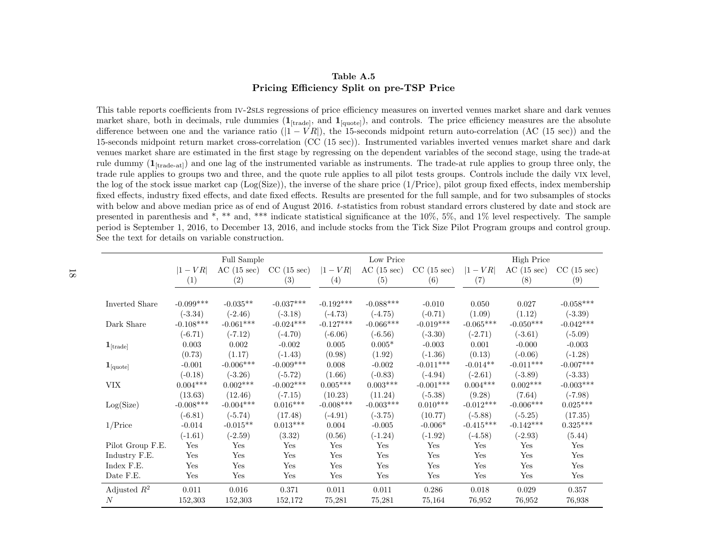### Table A.5Pricing Efficiency Split on pre-TSP Price

This table reports coefficients from IV-2sLs regressions of price efficiency measures on inverted venues market share and dark venues market share, both in decimals, rule dummies  $(1_{[\text{trade}]})$ , and  $1_{[\text{quote}]}$ , and controls. The price efficiency measures are the absolute difference between one and the variance ratio  $(|1 - VR|)$ , the 15-seconds midpoint return auto-correlation (AC (15 sec)) and the 15-seconds midpoint return market cross-correlation (CC (15 sec)). Instrumented variables inverted venues market share and dark venues market share are estimated in the first stage by regressing on the dependent variables of the second stage, using the trade-atrule dummy  $(1_{[trade-at]})$  and one lag of the instrumented variable as instruments. The trade-at rule applies to group three only, the trade rule applies to groups two and three, and the quote rule applies to all <sup>p</sup>ilot tests groups. Controls include the daily vix level, the log of the stock issue market cap ( $Log(Size)$ ), the inverse of the share price  $(1/Price)$ , pilot group fixed effects, index membership fixed effects, industry fixed effects, and date fixed effects. Results are presented for the full sample, and for two subsamples of stockswith below and above median price as of end of August 2016. t-statistics from robust standard errors clustered by date and stock are presented in parenthesis and \*, \*\* and, \*\*\* indicate statistical significance at the 10%, 5%, and 1% level respectively. The sample period is September 1, 2016, to December 13, 2016, and include stocks from the Tick Size Pilot Program groups and control group.See the text for details on variable construction.

<span id="page-18-0"></span>

|                               | Full Sample |             |             |             | Low Price   |             |                 | <b>High Price</b> |             |  |  |
|-------------------------------|-------------|-------------|-------------|-------------|-------------|-------------|-----------------|-------------------|-------------|--|--|
|                               | $ 1 - VR $  | AC(15 sec)  | CC(15 sec)  | $ 1 - VR $  | AC(15 sec)  | CC(15 sec)  | $ 1 - VR $      | AC(15 sec)        | CC(15 sec)  |  |  |
|                               | (1)         | (2)         | (3)         | (4)         | (5)         | (6)         | (7)             | (8)               | (9)         |  |  |
| Inverted Share                | $-0.099***$ | $-0.035**$  | $-0.037***$ | $-0.192***$ | $-0.088***$ | $-0.010$    | 0.050           | 0.027             | $-0.058***$ |  |  |
| Dark Share                    | $(-3.34)$   | $(-2.46)$   | $(-3.18)$   | $(-4.73)$   | $(-4.75)$   | $(-0.71)$   | (1.09)          | (1.12)            | $(-3.39)$   |  |  |
|                               | $-0.108***$ | $-0.061***$ | $-0.024***$ | $-0.127***$ | $-0.066***$ | $-0.019***$ | $-0.065***$     | $-0.050***$       | $-0.042***$ |  |  |
| $\mathbf{1}_{[\text{trade}]}$ | $(-6.71)$   | $(-7.12)$   | $(-4.70)$   | $(-6.06)$   | $(-6.56)$   | $(-3.30)$   | $(-2.71)$       | $(-3.61)$         | $(-5.09)$   |  |  |
|                               | 0.003       | 0.002       | $-0.002$    | 0.005       | $0.005*$    | $-0.003$    | 0.001           | $-0.000$          | $-0.003$    |  |  |
| $\mathbf{1}_{[\text{quote}]}$ | (0.73)      | (1.17)      | $(-1.43)$   | (0.98)      | (1.92)      | $(-1.36)$   | (0.13)          | $(-0.06)$         | $(-1.28)$   |  |  |
|                               | $-0.001$    | $-0.006***$ | $-0.009***$ | 0.008       | $-0.002$    | $-0.011***$ | $-0.014**$      | $-0.011***$       | $-0.007***$ |  |  |
| <b>VIX</b>                    | $(-0.18)$   | $(-3.26)$   | $(-5.72)$   | (1.66)      | $(-0.83)$   | $(-4.94)$   | $(-2.61)$       | $(-3.89)$         | $(-3.33)$   |  |  |
|                               | $0.004***$  | $0.002***$  | $-0.002***$ | $0.005***$  | $0.003***$  | $-0.001***$ | $0.004^{***}\,$ | $0.002***$        | $-0.003***$ |  |  |
| Log(Size)                     | (13.63)     | (12.46)     | $(-7.15)$   | (10.23)     | (11.24)     | $(-5.38)$   | (9.28)          | (7.64)            | $(-7.98)$   |  |  |
|                               | $-0.008***$ | $-0.004***$ | $0.016***$  | $-0.008***$ | $-0.003***$ | $0.010***$  | $-0.012***$     | $-0.006***$       | $0.025***$  |  |  |
| $1/\text{Price}$              | $(-6.81)$   | $(-5.74)$   | (17.48)     | $(-4.91)$   | $(-3.75)$   | (10.77)     | $(-5.88)$       | $(-5.25)$         | (17.35)     |  |  |
|                               | $-0.014$    | $-0.015**$  | $0.013***$  | 0.004       | $-0.005$    | $-0.006*$   | $-0.415***$     | $-0.142***$       | $0.325***$  |  |  |
| Pilot Group F.E.              | $(-1.61)$   | $(-2.59)$   | (3.32)      | (0.56)      | $(-1.24)$   | $(-1.92)$   | $(-4.58)$       | $(-2.93)$         | (5.44)      |  |  |
|                               | Yes         | Yes         | Yes         | Yes         | Yes         | Yes         | Yes             | Yes               | Yes         |  |  |
| Industry F.E.                 | Yes         | Yes         | Yes         | Yes         | Yes         | Yes         | Yes             | Yes               | Yes         |  |  |
| Index F.E.                    | Yes         | Yes         | Yes         | Yes         | Yes         | Yes         | Yes             | Yes               | Yes         |  |  |
| Date F.E.                     | Yes         | Yes         | Yes         | Yes         | Yes         | Yes         | Yes             | Yes               | Yes         |  |  |
| Adjusted $R^2$                | 0.011       | 0.016       | 0.371       | 0.011       | 0.011       | 0.286       | 0.018           | 0.029             | 0.357       |  |  |
| $\boldsymbol{N}$              | 152,303     | 152,303     | 152,172     | 75,281      | 75,281      | 75,164      | 76,952          | 76,952            | 76,938      |  |  |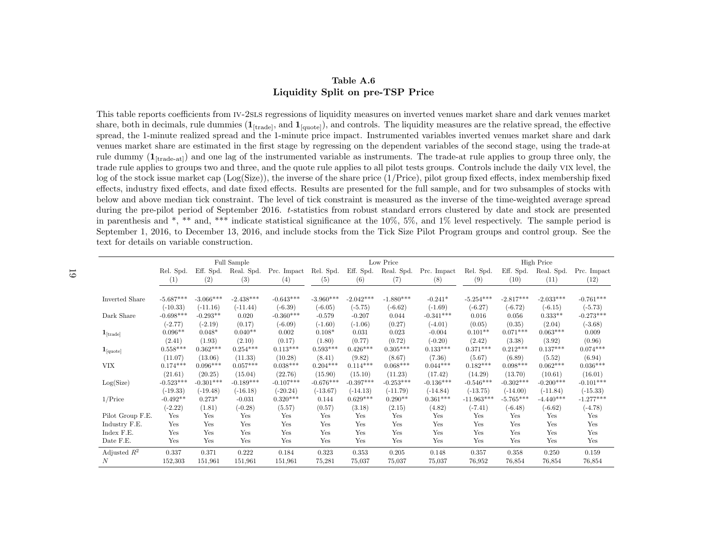### Table A.6Liquidity Split on pre-TSP Price

This table reports coefficients from IV-2sLs regressions of liquidity measures on inverted venues market share and dark venues market share, both in decimals, rule dummies  $(1_{[\text{trade}]})$ , and  $1_{[\text{quote}]})$ , and controls. The liquidity measures are the relative spread, the effective spread, the 1-minute realized spread and the 1-minute price impact. Instrumented variables inverted venues market share and dark venues market share are estimated in the first stage by regressing on the dependent variables of the second stage, using the trade-atrule dummy  $(1_{[trade-at]})$  and one lag of the instrumented variable as instruments. The trade-at rule applies to group three only, the trade rule applies to groups two and three, and the quote rule applies to all pilot tests groups. Controls include the daily VIX level, the log of the stock issue market cap (Log(Size)), the inverse of the share price (1/Price), <sup>p</sup>ilot group fixed effects, index membership fixed effects, industry fixed effects, and date fixed effects. Results are presented for the full sample, and for two subsamples of stocks with below and above median tick constraint. The level of tick constraint is measured as the inverse of the time-weighted average spread during the pre-pilot period of September 2016. <sup>t</sup>-statistics from robust standard errors clustered by date and stock are presented in parenthesis and \*, \*\* and, \*\*\* indicate statistical significance at the 10%, 5%, and 1% level respectively. The sample period is September 1, 2016, to December 13, 2016, and include stocks from the Tick Size Pilot Program groups and control group. See thetext for details on variable construction.

<span id="page-19-0"></span>

|                               |                 |             | Full Sample |             |                        |             | Low Price   |             |              |             | <b>High Price</b> |             |
|-------------------------------|-----------------|-------------|-------------|-------------|------------------------|-------------|-------------|-------------|--------------|-------------|-------------------|-------------|
|                               | Rel. Spd.       | Eff. Spd.   | Real. Spd.  | Prc. Impact | Rel. Spd.              | Eff. Spd.   | Real. Spd.  | Prc. Impact | Rel. Spd.    | Eff. Spd.   | Real. Spd.        | Prc. Impact |
|                               | (1)             | (2)         | (3)         | (4)         | (5)                    | (6)         | (7)         | (8)         | (9)          | (10)        | (11)              | (12)        |
|                               |                 |             |             |             |                        |             |             |             |              |             |                   |             |
| Inverted Share                | $-5.687***$     | $-3.066***$ | $-2.438***$ | $-0.643***$ | $-3.960***$            | $-2.042***$ | $-1.880***$ | $-0.241*$   | $-5.254***$  | $-2.817***$ | $-2.033***$       | $-0.761***$ |
|                               | $(-10.33)$      | $(-11.16)$  | $(-11.44)$  | $(-6.39)$   | $(-6.05)$              | $(-5.75)$   | $(-6.62)$   | $(-1.69)$   | $(-6.27)$    | $(-6.72)$   | $(-6.15)$         | $(-5.73)$   |
| Dark Share                    | $-0.698***$     | $-0.293**$  | 0.020       | $-0.360***$ | $-0.579$               | $-0.207$    | 0.044       | $-0.341***$ | 0.016        | 0.056       | $0.333**$         | $-0.273***$ |
|                               | $(-2.77)$       | $(-2.19)$   | (0.17)      | $(-6.09)$   | $(-1.60)$              | $(-1.06)$   | (0.27)      | $(-4.01)$   | (0.05)       | (0.35)      | (2.04)            | $(-3.68)$   |
| $\mathbf{1}_{[\text{trade}]}$ | $0.096**$       | $0.048*$    | $0.040**$   | 0.002       | $0.108*$               | 0.031       | 0.023       | $-0.004$    | $0.101**$    | $0.071***$  | $0.063***$        | 0.009       |
|                               | (2.41)          | (1.93)      | (2.10)      | (0.17)      | (1.80)                 | (0.77)      | (0.72)      | $(-0.20)$   | (2.42)       | (3.38)      | (3.92)            | (0.96)      |
| $\mathbf{1}_{\text{[quote]}}$ | $0.558^{***}\,$ | $0.362***$  | $0.254***$  | $0.113***$  | $0.593^{\ast\ast\ast}$ | $0.426***$  | $0.305***$  | $0.133***$  | $0.371***$   | $0.212***$  | $0.137***$        | $0.074***$  |
|                               | (11.07)         | (13.06)     | (11.33)     | (10.28)     | (8.41)                 | (9.82)      | (8.67)      | (7.36)      | (5.67)       | (6.89)      | (5.52)            | (6.94)      |
| <b>VIX</b>                    | $0.174***$      | $0.096***$  | $0.057***$  | $0.038***$  | $0.204***$             | $0.114***$  | $0.068***$  | $0.044***$  | $0.182***$   | $0.098***$  | $0.062***$        | $0.036***$  |
|                               | (21.61)         | (20.25)     | (15.04)     | (22.76)     | (15.90)                | (15.10)     | (11.23)     | (17.42)     | (14.29)      | (13.70)     | (10.61)           | (16.01)     |
| Log(Size)                     | $-0.523***$     | $-0.301***$ | $-0.189***$ | $-0.107***$ | $-0.676***$            | $-0.397***$ | $-0.253***$ | $-0.136***$ | $-0.546***$  | $-0.302***$ | $-0.200***$       | $-0.101***$ |
|                               | $(-19.33)$      | $(-19.48)$  | $(-16.18)$  | $(-20.24)$  | $(-13.67)$             | $(-14.13)$  | $(-11.79)$  | $(-14.84)$  | $(-13.75)$   | $(-14.00)$  | $(-11.84)$        | $(-15.33)$  |
| $1/\text{Price}$              | $-0.492**$      | $0.273*$    | $-0.031$    | $0.320***$  | 0.144                  | $0.629***$  | $0.290**$   | $0.361***$  | $-11.963***$ | $-5.765***$ | $-4.440***$       | $-1.277***$ |
|                               | $(-2.22)$       | (1.81)      | $(-0.28)$   | (5.57)      | (0.57)                 | (3.18)      | (2.15)      | (4.82)      | $(-7.41)$    | $(-6.48)$   | $(-6.62)$         | $(-4.78)$   |
| Pilot Group F.E.              | Yes             | Yes         | Yes         | Yes         | Yes                    | Yes         | Yes         | Yes         | Yes          | Yes         | Yes               | Yes         |
| Industry F.E.                 | Yes             | Yes         | Yes         | Yes         | Yes                    | Yes         | Yes         | Yes         | Yes          | Yes         | Yes               | Yes         |
| Index F.E.                    | Yes             | Yes         | Yes         | Yes         | Yes                    | Yes         | Yes         | Yes         | Yes          | Yes         | Yes               | Yes         |
| Date F.E.                     | Yes             | Yes         | Yes         | Yes         | Yes                    | Yes         | Yes         | Yes         | Yes          | Yes         | Yes               | Yes         |
| Adjusted $R^2$                | 0.337           | 0.371       | 0.222       | 0.184       | 0.323                  | 0.353       | 0.205       | 0.148       | 0.357        | 0.358       | 0.250             | 0.159       |
| N                             | 152,303         | 151,961     | 151,961     | 151,961     | 75,281                 | 75,037      | 75,037      | 75,037      | 76,952       | 76,854      | 76,854            | 76,854      |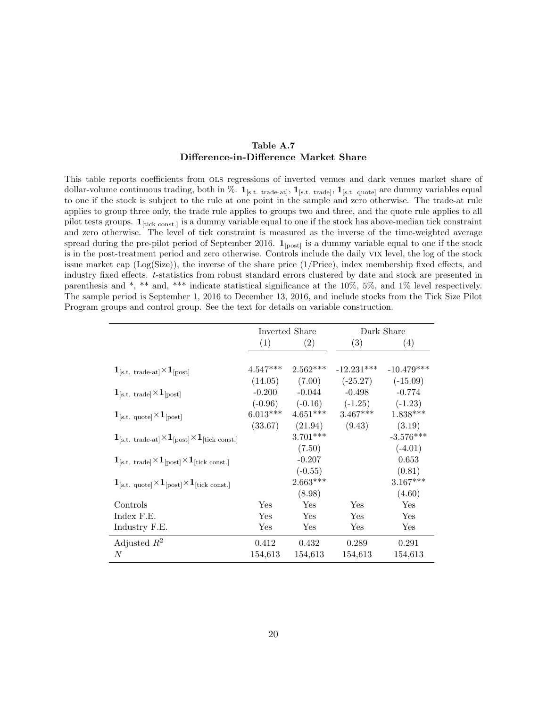### Table A.7 Difference-in-Difference Market Share

<span id="page-20-0"></span>This table reports coefficients from ols regressions of inverted venues and dark venues market share of dollar-volume continuous trading, both in %.  $1_{[s.t. \text{ trade-at}]}, 1_{[s.t. \text{ trade}]}, 1_{[s.t. \text{ quote}]}}$  are dummy variables equal to one if the stock is subject to the rule at one point in the sample and zero otherwise. The trade-at rule applies to group three only, the trade rule applies to groups two and three, and the quote rule applies to all pilot tests groups.  $\mathbf{1}_{\text{[tick const.]}}$  is a dummy variable equal to one if the stock has above-median tick constraint and zero otherwise. The level of tick constraint is measured as the inverse of the time-weighted average spread during the pre-pilot period of September 2016.  $\mathbf{1}_{\text{[post]}}$  is a dummy variable equal to one if the stock is in the post-treatment period and zero otherwise. Controls include the daily vix level, the log of the stock issue market cap (Log(Size)), the inverse of the share price (1/Price), index membership fixed effects, and industry fixed effects. t-statistics from robust standard errors clustered by date and stock are presented in parenthesis and \*, \*\* and, \*\*\* indicate statistical significance at the 10%, 5%, and 1% level respectively. The sample period is September 1, 2016 to December 13, 2016, and include stocks from the Tick Size Pilot Program groups and control group. See the text for details on variable construction.

|                                                                                                                  |                      | Inverted Share |                               | Dark Share   |
|------------------------------------------------------------------------------------------------------------------|----------------------|----------------|-------------------------------|--------------|
|                                                                                                                  | (1)                  | (2)            | (3)                           | (4)          |
|                                                                                                                  |                      |                |                               |              |
| $\mathbf{1}_{\text{[s.t. trade-at]}} \times \mathbf{1}_{\text{[post]}}$                                          | $4.547***$           | $2.562***$     | $-12.231***$                  | $-10.479***$ |
|                                                                                                                  | (14.05)              | (7.00)         | $(-25.27)$                    | $(-15.09)$   |
| $1_{\text{[s.t. trade]}} \times 1_{\text{[post]}}$                                                               | $-0.200$             | $-0.044$       | $-0.498$                      | $-0.774$     |
|                                                                                                                  |                      |                | $(-0.96)$ $(-0.16)$ $(-1.25)$ | $(-1.23)$    |
| $1_{\text{[s.t. quote]}} \times 1_{\text{[post]}}$                                                               | $6.013***$           | $4.651***$     | $3.467***$                    | $1.838***$   |
|                                                                                                                  | (33.67)              | (21.94)        | (9.43)                        | (3.19)       |
| $\mathbf{1}_{\text{[s.t. trade-at]}} \times \mathbf{1}_{\text{[post]}} \times \mathbf{1}_{\text{[tick const.]}}$ |                      | $3.701***$     |                               | $-3.576***$  |
|                                                                                                                  |                      | (7.50)         |                               | $(-4.01)$    |
| $1_{\text{[s.t. trade]}} \times 1_{\text{[post]}} \times 1_{\text{[tick const.]}}$                               |                      | $-0.207$       |                               | 0.653        |
|                                                                                                                  |                      | $(-0.55)$      |                               | (0.81)       |
| $1_{\text{[s.t. quote]}} \times 1_{\text{[post]}} \times 1_{\text{[tick const.]}}$                               |                      | $2.663***$     |                               | $3.167***$   |
|                                                                                                                  |                      | (8.98)         |                               | (4.60)       |
| Controls                                                                                                         | $\operatorname{Yes}$ | Yes            | Yes                           | Yes          |
| Index F.E.                                                                                                       | Yes                  | Yes            | Yes                           | Yes          |
| Industry F.E.                                                                                                    | Yes                  | Yes            | Yes                           | Yes          |
| Adjusted $R^2$                                                                                                   | 0.412                | 0.432          | 0.289                         | 0.291        |
| N                                                                                                                | 154,613              | 154,613        | 154,613                       | 154,613      |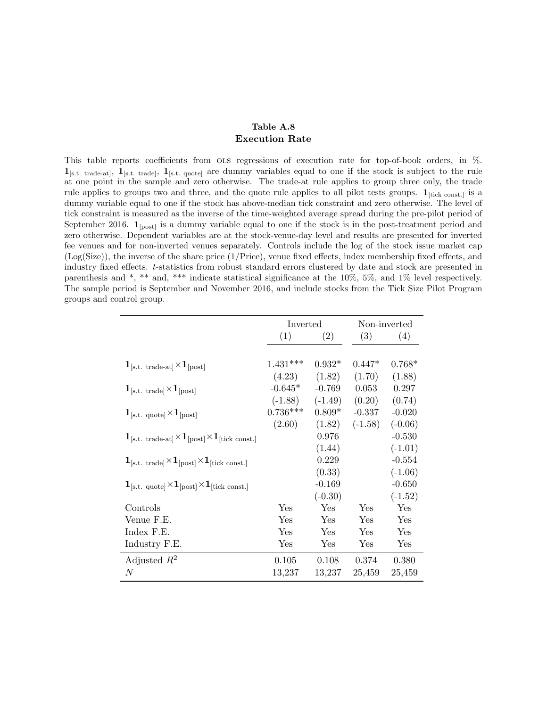### <span id="page-21-1"></span>Table A.8 Execution Rate

<span id="page-21-0"></span>This table reports coefficients from ols regressions of execution rate for top-of-book orders, in %.  $1_{\text{[s.t. trade-at]}}$ ,  $1_{\text{[s.t. trade]}}$ ,  $1_{\text{[s.t. quoted]}}$  are dummy variables equal to one if the stock is subject to the rule at one point in the sample and zero otherwise. The trade-at rule applies to group three only, the trade rule applies to groups two and three, and the quote rule applies to all pilot tests groups.  $1_{\text{[tick const.]}}$  is a dummy variable equal to one if the stock has above-median tick constraint and zero otherwise. The level of tick constraint is measured as the inverse of the time-weighted average spread during the pre-pilot period of September 2016.  $1_{[post]}$  is a dummy variable equal to one if the stock is in the post-treatment period and zero otherwise. Dependent variables are at the stock-venue-day level and results are presented for inverted fee venues and for non-inverted venues separately. Controls include the log of the stock issue market cap (Log(Size)), the inverse of the share price (1/Price), venue fixed effects, index membership fixed effects, and industry fixed effects. t-statistics from robust standard errors clustered by date and stock are presented in parenthesis and \*, \*\* and, \*\*\* indicate statistical significance at the 10%, 5%, and 1% level respectively. The sample period is September and November 2016, and include stocks from the Tick Size Pilot Program groups and control group.

|                                                                                       | Inverted   |           |           | Non-inverted |
|---------------------------------------------------------------------------------------|------------|-----------|-----------|--------------|
|                                                                                       | (1)        | (2)       | (3)       | (4)          |
|                                                                                       |            |           |           |              |
| $1_{\text{[s.t. trade-at]}} \times 1_{\text{[post]}}$                                 | $1.431***$ | $0.932*$  | $0.447*$  | $0.768*$     |
|                                                                                       | (4.23)     | (1.82)    | (1.70)    | (1.88)       |
| $\mathbf{1}_{\text{[s.t. trade]}} \times \mathbf{1}_{\text{[post]}}$                  | $-0.645*$  | $-0.769$  | 0.053     | 0.297        |
|                                                                                       | $(-1.88)$  | $(-1.49)$ | (0.20)    | (0.74)       |
| $1_{\text{[s.t. quote]}} \times 1_{\text{[post]}}$                                    | $0.736***$ | $0.809*$  | $-0.337$  | $-0.020$     |
|                                                                                       | (2.60)     | (1.82)    | $(-1.58)$ | $(-0.06)$    |
| $1_{\text{[s.t. trade-at]}} \times 1_{\text{[post]}} \times 1_{\text{[tick const.]}}$ |            | 0.976     |           | $-0.530$     |
|                                                                                       |            | (1.44)    |           | $(-1.01)$    |
| $1_{\text{[s.t. trade]}} \times 1_{\text{[post]}} \times 1_{\text{[tick const.]}}$    |            | 0.229     |           | $-0.554$     |
|                                                                                       |            | (0.33)    |           | $(-1.06)$    |
| $1_{\text{[s.t. quote]}} \times 1_{\text{[post]}} \times 1_{\text{[tick const.]}}$    |            | $-0.169$  |           | $-0.650$     |
|                                                                                       |            | $(-0.30)$ |           | $(-1.52)$    |
| Controls                                                                              | Yes        | Yes       | Yes       | Yes          |
| Venue F.E.                                                                            | Yes        | Yes       | Yes       | Yes          |
| Index F.E.                                                                            | Yes        | Yes       | Yes       | Yes          |
| Industry F.E.                                                                         | Yes        | Yes       | Yes       | Yes          |
| Adjusted $R^2$                                                                        | 0.105      | 0.108     | 0.374     | 0.380        |
| $\,N$                                                                                 | 13,237     | 13,237    | 25,459    | 25,459       |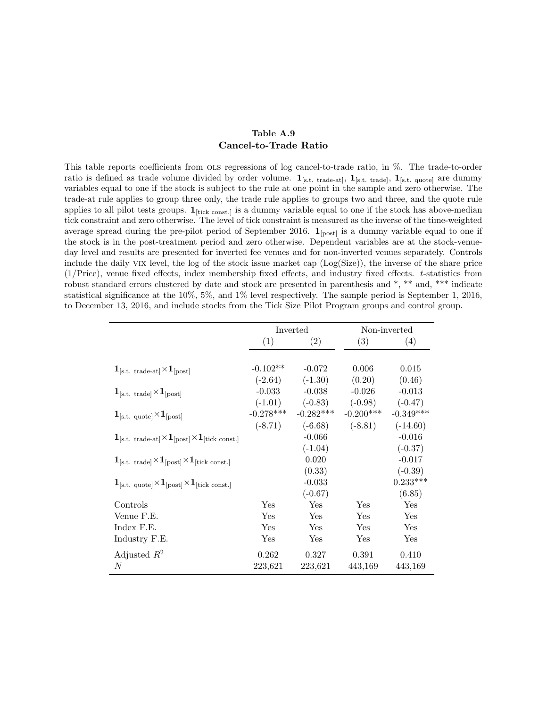### <span id="page-22-1"></span>Table A.9 Cancel-to-Trade Ratio

<span id="page-22-0"></span>This table reports coefficients from ols regressions of log cancel-to-trade ratio, in %. The trade-to-order ratio is defined as trade volume divided by order volume.  $1_{[s.t. \text{ trade-at}]}, 1_{[s.t. \text{ trade}]}, 1_{[s.t. \text{ quote}]}$  are dummy variables equal to one if the stock is subject to the rule at one point in the sample and zero otherwise. The trade-at rule applies to group three only, the trade rule applies to groups two and three, and the quote rule applies to all pilot tests groups.  $\mathbf{1}_{\text{[tick const.]}}$  is a dummy variable equal to one if the stock has above-median tick constraint and zero otherwise. The level of tick constraint is measured as the inverse of the time-weighted average spread during the pre-pilot period of September 2016.  $\mathbf{1}_{[post]}$  is a dummy variable equal to one if the stock is in the post-treatment period and zero otherwise. Dependent variables are at the stock-venueday level and results are presented for inverted fee venues and for non-inverted venues separately. Controls include the daily vix level, the log of the stock issue market cap (Log(Size)), the inverse of the share price (1/Price), venue fixed effects, index membership fixed effects, and industry fixed effects. t-statistics from robust standard errors clustered by date and stock are presented in parenthesis and \*, \*\* and, \*\*\* indicate statistical significance at the 10%, 5%, and 1% level respectively. The sample period is September 1, 2016, to December 13, 2016, and include stocks from the Tick Size Pilot Program groups and control group.

|                                                                                       |             | Inverted    |             | Non-inverted |
|---------------------------------------------------------------------------------------|-------------|-------------|-------------|--------------|
|                                                                                       | (1)         | (2)         | (3)         | (4)          |
|                                                                                       |             |             |             |              |
| $1_{\text{[s.t. trade-at]}} \times 1_{\text{[post]}}$                                 | $-0.102**$  | $-0.072$    | 0.006       | 0.015        |
|                                                                                       | $(-2.64)$   | $(-1.30)$   | (0.20)      | (0.46)       |
| $1_{\text{[s.t. trade]}} \times 1_{\text{[post]}}$                                    | $-0.033$    | $-0.038$    | $-0.026$    | $-0.013$     |
|                                                                                       | $(-1.01)$   | $(-0.83)$   | $(-0.98)$   | $(-0.47)$    |
| $1_{\text{[s.t. quote]}} \times 1_{\text{[post]}}$                                    | $-0.278***$ | $-0.282***$ | $-0.200***$ | $-0.349***$  |
|                                                                                       | $(-8.71)$   | $(-6.68)$   | $(-8.81)$   | $(-14.60)$   |
| $1_{\text{[s.t. trade-at]}} \times 1_{\text{[post]}} \times 1_{\text{[tick const.]}}$ |             | $-0.066$    |             | $-0.016$     |
|                                                                                       |             | $(-1.04)$   |             | $(-0.37)$    |
| $1_{\text{[s.t. trade]}} \times 1_{\text{[post]}} \times 1_{\text{[tick const.]}}$    |             | 0.020       |             | $-0.017$     |
|                                                                                       |             | (0.33)      |             | $(-0.39)$    |
| $1_{\text{[s.t. quote]}} \times 1_{\text{[post]}} \times 1_{\text{[tick const.]}}$    |             | $-0.033$    |             | $0.233***$   |
|                                                                                       |             | $(-0.67)$   |             | (6.85)       |
| Controls                                                                              | Yes         | Yes         | Yes         | Yes          |
| Venue F.E.                                                                            | Yes         | Yes         | Yes         | Yes          |
| Index F.E.                                                                            | Yes         | Yes         | Yes         | Yes          |
| Industry F.E.                                                                         | Yes         | Yes         | Yes         | Yes          |
| Adjusted $R^2$                                                                        | 0.262       | 0.327       | 0.391       | 0.410        |
| N                                                                                     | 223,621     | 223,621     | 443,169     | 443,169      |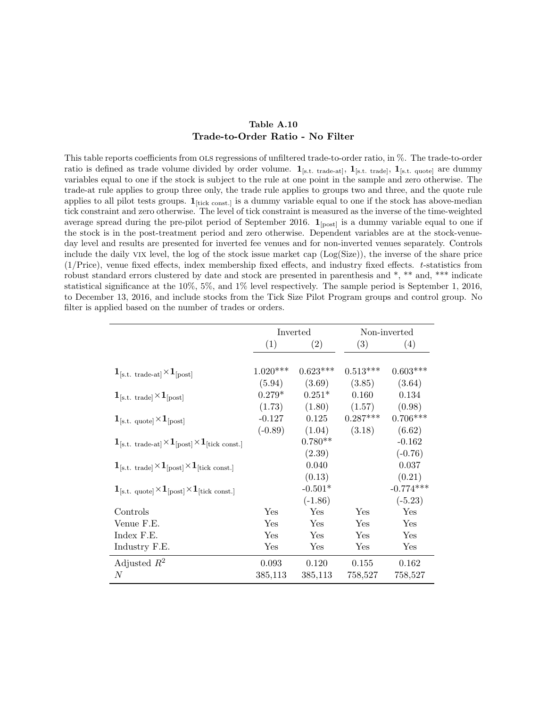### Table A.10 Trade-to-Order Ratio - No Filter

<span id="page-23-0"></span>This table reports coefficients from ols regressions of unfiltered trade-to-order ratio, in %. The trade-to-order ratio is defined as trade volume divided by order volume.  $1_{[s.t. \text{ trade-at}]}, 1_{[s.t. \text{ trade}]}, 1_{[s.t. \text{ quote}]}$  are dummy variables equal to one if the stock is subject to the rule at one point in the sample and zero otherwise. The trade-at rule applies to group three only, the trade rule applies to groups two and three, and the quote rule applies to all pilot tests groups.  $1_{\text{[tick const.]}}$  is a dummy variable equal to one if the stock has above-median tick constraint and zero otherwise. The level of tick constraint is measured as the inverse of the time-weighted average spread during the pre-pilot period of September 2016.  $\mathbf{1}_{[post]}$  is a dummy variable equal to one if the stock is in the post-treatment period and zero otherwise. Dependent variables are at the stock-venueday level and results are presented for inverted fee venues and for non-inverted venues separately. Controls include the daily vix level, the log of the stock issue market cap (Log(Size)), the inverse of the share price (1/Price), venue fixed effects, index membership fixed effects, and industry fixed effects. t-statistics from robust standard errors clustered by date and stock are presented in parenthesis and \*, \*\* and, \*\*\* indicate statistical significance at the 10%, 5%, and 1% level respectively. The sample period is September 1, 2016, to December 13, 2016, and include stocks from the Tick Size Pilot Program groups and control group. No filter is applied based on the number of trades or orders.

|                                                                                       |            | Inverted   |            | Non-inverted |
|---------------------------------------------------------------------------------------|------------|------------|------------|--------------|
|                                                                                       | (1)        | (2)        | (3)        | (4)          |
|                                                                                       |            |            |            |              |
| $\mathbf{1}_{\text{[s.t. trade-at]}} \times \mathbf{1}_{\text{[post]}}$               | $1.020***$ | $0.623***$ | $0.513***$ | $0.603***$   |
|                                                                                       | (5.94)     | (3.69)     | (3.85)     | (3.64)       |
| $\mathbf{1}_{\text{[s.t. trade]}} \times \mathbf{1}_{\text{[post]}}$                  | $0.279*$   | $0.251*$   | 0.160      | 0.134        |
|                                                                                       | (1.73)     | (1.80)     | (1.57)     | (0.98)       |
| $1_{\text{[s.t. quote]}} \times 1_{\text{[post]}}$                                    | $-0.127$   | 0.125      | $0.287***$ | $0.706***$   |
|                                                                                       | $(-0.89)$  | (1.04)     | (3.18)     | (6.62)       |
| $1_{\text{[s.t. trade-at]}} \times 1_{\text{[post]}} \times 1_{\text{[tick const.]}}$ |            | $0.780**$  |            | $-0.162$     |
|                                                                                       |            | (2.39)     |            | $(-0.76)$    |
| $1_{\text{[s.t. trade]}} \times 1_{\text{[post]}} \times 1_{\text{[tick const.]}}$    |            | 0.040      |            | 0.037        |
|                                                                                       |            | (0.13)     |            | (0.21)       |
| $1_{\text{[s.t. quote]}} \times 1_{\text{[post]}} \times 1_{\text{[tick const.]}}$    |            | $-0.501*$  |            | $-0.774***$  |
|                                                                                       |            | $(-1.86)$  |            | $(-5.23)$    |
| Controls                                                                              | Yes        | Yes        | Yes        | Yes          |
| Venue F.E.                                                                            | Yes        | Yes        | Yes        | Yes          |
| Index F.E.                                                                            | Yes        | Yes        | Yes        | Yes          |
| Industry F.E.                                                                         | Yes        | Yes        | Yes        | Yes          |
| Adjusted $R^2$                                                                        | 0.093      | 0.120      | 0.155      | 0.162        |
| $\boldsymbol{N}$                                                                      | 385,113    | 385,113    | 758,527    | 758,527      |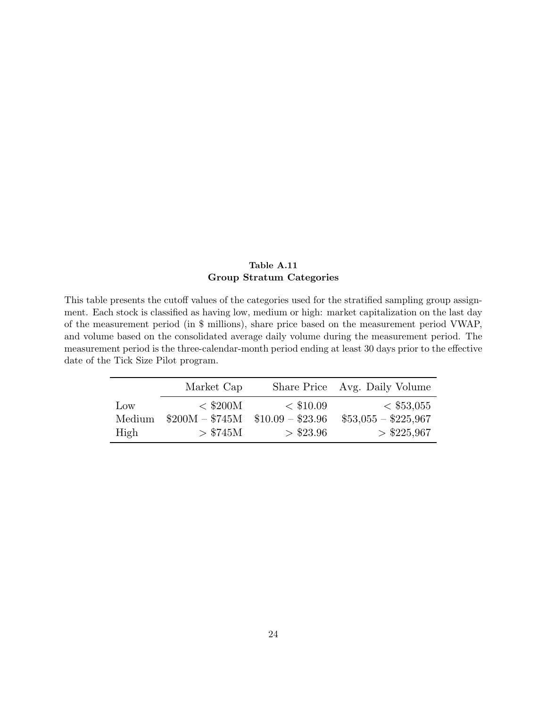### Table A.11 Group Stratum Categories

<span id="page-24-0"></span>This table presents the cutoff values of the categories used for the stratified sampling group assignment. Each stock is classified as having low, medium or high: market capitalization on the last day of the measurement period (in \$ millions), share price based on the measurement period VWAP, and volume based on the consolidated average daily volume during the measurement period. The measurement period is the three-calendar-month period ending at least 30 days prior to the effective date of the Tick Size Pilot program.

|                 | Market Cap      |                   | Share Price Avg. Daily Volume |
|-----------------|-----------------|-------------------|-------------------------------|
| $_{\text{Low}}$ | $<$ \$200M      | $<$ \$10.09       | $<$ \$53,055                  |
| Medium          | $$200M - $745M$ | $$10.09 - $23.96$ | $$53,055 - $225,967$          |
| High            | > \$745M        | > \$23.96         | $>$ \$225,967                 |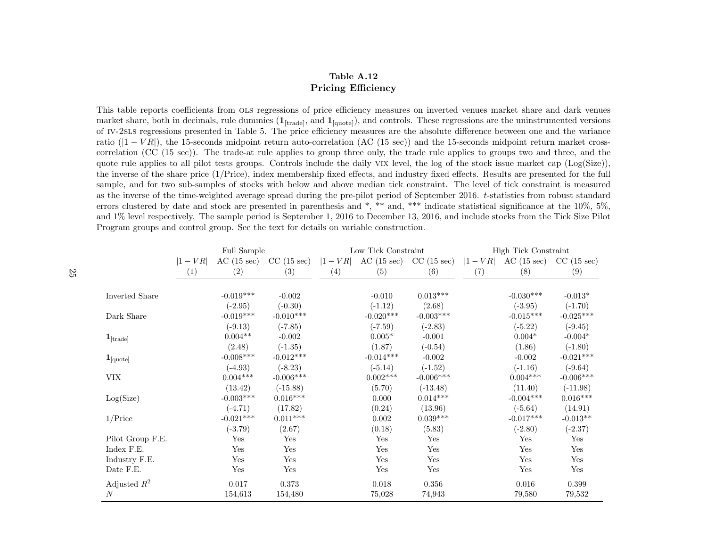### Table A.12Pricing Efficiency

<span id="page-25-1"></span>This table reports coefficients from OLS regressions of price efficiency measures on inverted venues market share and dark venues market share, both in decimals, rule dummies  $(1_{[\text{trade}]})$ , and  $1_{[\text{quote}]})$ , and controls. These regressions are the uninstrumented versions of iv-2sls regressions presented in Table [5.](#page-21-1) The price efficiency measures are the absolute difference between one and the variance ratio  $(|1 - VR|)$ , the 15-seconds midpoint return auto-correlation  $(AC (15 sec))$  and the 15-seconds midpoint return market cross-<br>- consisting  $(CC (15 sec))$ . The trade at mile smiles to many three subsets the trade will smalle to ma correlation (CC (15 sec)). The trade-at rule applies to group three only, the trade rule applies to groups two and three, and the quote rule applies to all <sup>p</sup>ilot tests groups. Controls include the daily vix level, the log of the stock issue market cap (Log(Size)), the inverse of the share price (1/Price), index membership fixed effects, and industry fixed effects. Results are presented for the full sample, and for two sub-samples of stocks with below and above median tick constraint. The level of tick constraint is measuredas the inverse of the time-weighted average spread during the pre-pilot period of September 2016. t-statistics from robust standard errors clustered by date and stock are presented in parenthesis and \*, \*\* and, \*\*\* indicate statistical significance at the 10%, 5%,and 1% level respectively. The sample period is September 1, 2016 to December 13, 2016, and include stocks from the Tick Size PilotProgram groups and control group. See the text for details on variable construction.

<span id="page-25-0"></span>

|                               | Full Sample |             |             |     | Low Tick Constraint                |             | High Tick Constraint |                                     |             |  |
|-------------------------------|-------------|-------------|-------------|-----|------------------------------------|-------------|----------------------|-------------------------------------|-------------|--|
|                               | $ 1 - VR $  | AC(15 sec)  | CC(15 sec)  |     | $ 1 - VR $ AC (15 sec) CC (15 sec) |             | $ 1 - VR $           | $\rm AC$ (15 sec) $\rm CC$ (15 sec) |             |  |
|                               | (1)         | (2)         | (3)         | (4) | (5)                                | (6)         | (7)                  | (8)                                 | (9)         |  |
| Inverted Share                |             | $-0.019***$ | $-0.002$    |     | $-0.010$                           | $0.013***$  |                      | $-0.030***$                         | $-0.013*$   |  |
|                               |             | $(-2.95)$   | $(-0.30)$   |     | $(-1.12)$                          | (2.68)      |                      | $(-3.95)$                           | $(-1.70)$   |  |
| Dark Share                    |             | $-0.019***$ | $-0.010***$ |     | $-0.020***$                        | $-0.003***$ |                      | $-0.015***$                         | $-0.025***$ |  |
|                               |             | $(-9.13)$   | $(-7.85)$   |     | $(-7.59)$                          | $(-2.83)$   |                      | $(-5.22)$                           | $(-9.45)$   |  |
| $\mathbf{1}_{[\text{trade}]}$ |             | $0.004**$   | $-0.002$    |     | $0.005*$                           | $-0.001$    |                      | $0.004*$                            | $-0.004*$   |  |
|                               |             | (2.48)      | $(-1.35)$   |     | (1.87)                             | $(-0.54)$   |                      | (1.86)                              | $(-1.80)$   |  |
| $\mathbf{1}_{\text{[quote]}}$ |             | $-0.008***$ | $-0.012***$ |     | $-0.014***$                        | $-0.002$    |                      | $-0.002$                            | $-0.021***$ |  |
|                               |             | $(-4.93)$   | $(-8.23)$   |     | $(-5.14)$                          | $(-1.52)$   |                      | $(-1.16)$                           | $(-9.64)$   |  |
| <b>VIX</b>                    |             | $0.004***$  | $-0.006***$ |     | $0.002***$                         | $-0.006***$ |                      | $0.004***$                          | $-0.006***$ |  |
|                               |             | (13.42)     | $(-15.88)$  |     | (5.70)                             | $(-13.48)$  |                      | (11.40)                             | $(-11.98)$  |  |
| Log(Size)                     |             | $-0.003***$ | $0.016***$  |     | 0.000                              | $0.014***$  |                      | $-0.004***$                         | $0.016***$  |  |
|                               |             | $(-4.71)$   | (17.82)     |     | (0.24)                             | (13.96)     |                      | $(-5.64)$                           | (14.91)     |  |
| $1/\text{Price}$              |             | $-0.021***$ | $0.011***$  |     | 0.002                              | $0.039***$  |                      | $-0.017***$                         | $-0.013**$  |  |
|                               |             | $(-3.79)$   | (2.67)      |     | (0.18)                             | (5.83)      |                      | $(-2.80)$                           | $(-2.37)$   |  |
| Pilot Group F.E.              |             | Yes         | Yes         |     | Yes                                | Yes         |                      | Yes                                 | Yes         |  |
| Index F.E.                    |             | Yes         | Yes         |     | Yes                                | Yes         |                      | Yes                                 | Yes         |  |
| Industry F.E.                 |             | Yes         | Yes         |     | Yes                                | Yes         |                      | Yes                                 | Yes         |  |
| Date F.E.                     |             | Yes         | Yes         |     | Yes                                | Yes         |                      | Yes                                 | Yes         |  |
| Adjusted $R^2$                |             | 0.017       | 0.373       |     | 0.018                              | 0.356       |                      | 0.016                               | 0.399       |  |
| $\boldsymbol{N}$              |             | 154,613     | 154,480     |     | 75,028                             | 74,943      |                      | 79,580                              | 79,532      |  |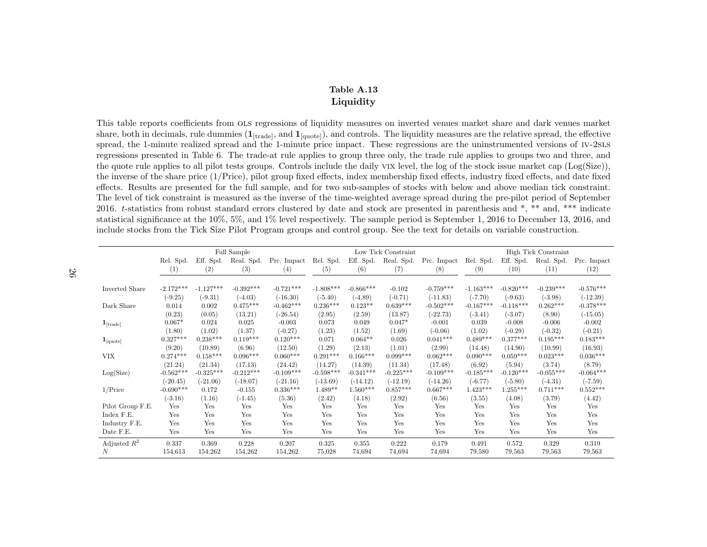### <span id="page-26-1"></span>Table A.13Liquidity

This table reports coefficients from OLS regressions of liquidity measures on inverted venues market share and dark venues market<br>chare hath in desirmals nuls dummise (1, and 1, and 2, and septuals. The liquidity measures share, both in decimals, rule dummies  $(1_{[\text{trade}]})$ , and  $1_{[\text{quote}]})$ , and controls. The liquidity measures are the relative spread, the effective spread, the 1-minute realized spread and the 1-minute price impact. These regressions are the uninstrumented versions of iv-2sls regressions presented in Table [6.](#page-22-1) The trade-at rule applies to group three only, the trade rule applies to groups two and three, and the quote rule applies to all <sup>p</sup>ilot tests groups. Controls include the daily vix level, the log of the stock issue market cap (Log(Size)), the inverse of the share price (1/Price), <sup>p</sup>ilot group fixed effects, index membership fixed effects, industry fixed effects, and date fixed effects. Results are presented for the full sample, and for two sub-samples of stocks with below and above median tick constraint.The level of tick constraint is measured as the inverse of the time-weighted average spread during the pre-pilot period of September2016. t-statistics from robust standard errors clustered by date and stock are presented in parenthesis and \*, \*\* and, \*\*\* indicate statistical significance at the 10%, 5%, and 1% level respectively. The sample period is September 1, 2016 to December 13, 2016, andinclude stocks from the Tick Size Pilot Program groups and control group. See the text for details on variable construction.

<span id="page-26-0"></span>

|                               | Full Sample |             |             |             | Low Tick Constraint |             |             |             | <b>High Tick Constraint</b> |             |             |             |
|-------------------------------|-------------|-------------|-------------|-------------|---------------------|-------------|-------------|-------------|-----------------------------|-------------|-------------|-------------|
|                               | Rel. Spd.   | Eff. Spd.   | Real. Spd.  | Prc. Impact | Rel. Spd.           | Eff. Spd.   | Real. Spd.  | Prc. Impact | Rel. Spd.                   | Eff. Spd.   | Real. Spd.  | Prc. Impact |
|                               | (1)         | (2)         | (3)         | (4)         | (5)                 | (6)         | (7)         | (8)         | (9)                         | (10)        | (11)        | (12)        |
|                               |             |             |             |             |                     |             |             |             |                             |             |             |             |
| <b>Inverted Share</b>         | $-2.172***$ | $-1.127***$ | $-0.392***$ | $-0.721***$ | $-1.808***$         | $-0.866***$ | $-0.102$    | $-0.759***$ | $-1.163***$                 | $-0.820***$ | $-0.239***$ | $-0.576***$ |
|                               | $(-9.25)$   | $(-9.31)$   | $(-4.03)$   | $(-16.30)$  | $(-5.40)$           | $(-4.89)$   | $(-0.71)$   | $(-11.83)$  | $(-7.70)$                   | $(-9.63)$   | $(-3.98)$   | $(-12.39)$  |
| Dark Share                    | 0.014       | 0.002       | $0.475***$  | $-0.462***$ | $0.236***$          | $0.123**$   | $0.639***$  | $-0.502***$ | $-0.167***$                 | $-0.118***$ | $0.262***$  | $-0.378***$ |
|                               | (0.23)      | (0.05)      | (13.21)     | $(-26.54)$  | (2.95)              | (2.59)      | (13.87)     | $(-22.73)$  | $(-3.41)$                   | $(-3.07)$   | (8.90)      | $(-15.05)$  |
| $\mathbf{1}_{[\text{trade}]}$ | $0.067*$    | 0.024       | 0.025       | $-0.003$    | 0.073               | 0.049       | $0.047*$    | $-0.001$    | 0.039                       | $-0.008$    | $-0.006$    | $-0.002$    |
|                               | (1.80)      | (1.02)      | (1.37)      | $(-0.27)$   | (1.23)              | (1.52)      | (1.69)      | $(-0.06)$   | (1.02)                      | $(-0.29)$   | $(-0.32)$   | $(-0.21)$   |
| $1_{\text{[quote]}}$          | $0.327***$  | $0.238***$  | $0.119***$  | $0.120***$  | 0.071               | $0.064**$   | 0.026       | $0.041***$  | $0.489***$                  | $0.377***$  | $0.195***$  | $0.183***$  |
|                               | (9.20)      | (10.89)     | (6.96)      | (12.50)     | (1.29)              | (2.13)      | (1.01)      | (2.99)      | (14.48)                     | (14.90)     | (10.99)     | (16.93)     |
| <b>VIX</b>                    | $0.274***$  | $0.158***$  | $0.096***$  | $0.060***$  | $0.291***$          | $0.166***$  | $0.099***$  | $0.062***$  | $0.090***$                  | $0.059***$  | $0.023***$  | $0.036***$  |
|                               | (21.24)     | (21.34)     | (17.13)     | (24.42)     | (14.27)             | (14.39)     | (11.34)     | (17.48)     | (6.92)                      | (5.94)      | (3.74)      | (8.79)      |
| Log(Size)                     | $-0.562***$ | $-0.325***$ | $-0.212***$ | $-0.109***$ | $-0.598***$         | $-0.341***$ | $-0.225***$ | $-0.109***$ | $-0.185***$                 | $-0.120***$ | $-0.055***$ | $-0.064***$ |
|                               | $(-20.45)$  | $(-21.06)$  | $(-18.07)$  | $(-21.16)$  | $(-13.69)$          | $(-14.12)$  | $(-12.19)$  | $(-14.26)$  | $(-6.77)$                   | $(-5.80)$   | $(-4.31)$   | $(-7.59)$   |
| $1/\text{Price}$              | $-0.690***$ | 0.172       | $-0.155$    | $0.336***$  | $1.489**$           | $1.560***$  | $0.857***$  | $0.667***$  | $1.423***$                  | $1.255***$  | $0.711***$  | $0.552***$  |
|                               | $(-3.16)$   | (1.16)      | $(-1.45)$   | (5.36)      | (2.42)              | (4.18)      | (2.92)      | (6.56)      | (3.55)                      | (4.08)      | (3.79)      | (4.42)      |
| Pilot Group F.E.              | Yes         | Yes         | Yes         | Yes         | Yes                 | Yes         | Yes         | Yes         | Yes                         | Yes         | Yes         | Yes         |
| Index F.E.                    | Yes         | Yes         | Yes         | Yes         | Yes                 | Yes         | Yes         | Yes         | Yes                         | Yes         | Yes         | Yes         |
| Industry F.E.                 | Yes         | Yes         | Yes         | Yes         | Yes                 | Yes         | Yes         | Yes         | Yes                         | Yes         | Yes         | Yes         |
| Date F.E.                     | Yes         | Yes         | Yes         | Yes         | Yes                 | Yes         | Yes         | Yes         | Yes                         | Yes         | Yes         | Yes         |
| Adjusted $R^2$                | 0.337       | 0.369       | 0.228       | 0.207       | 0.325               | 0.355       | 0.222       | 0.179       | 0.491                       | 0.572       | 0.329       | 0.319       |
| N                             | 154,613     | 154,262     | 154,262     | 154,262     | 75,028              | 74,694      | 74,694      | 74,694      | 79,580                      | 79,563      | 79,563      | 79,563      |